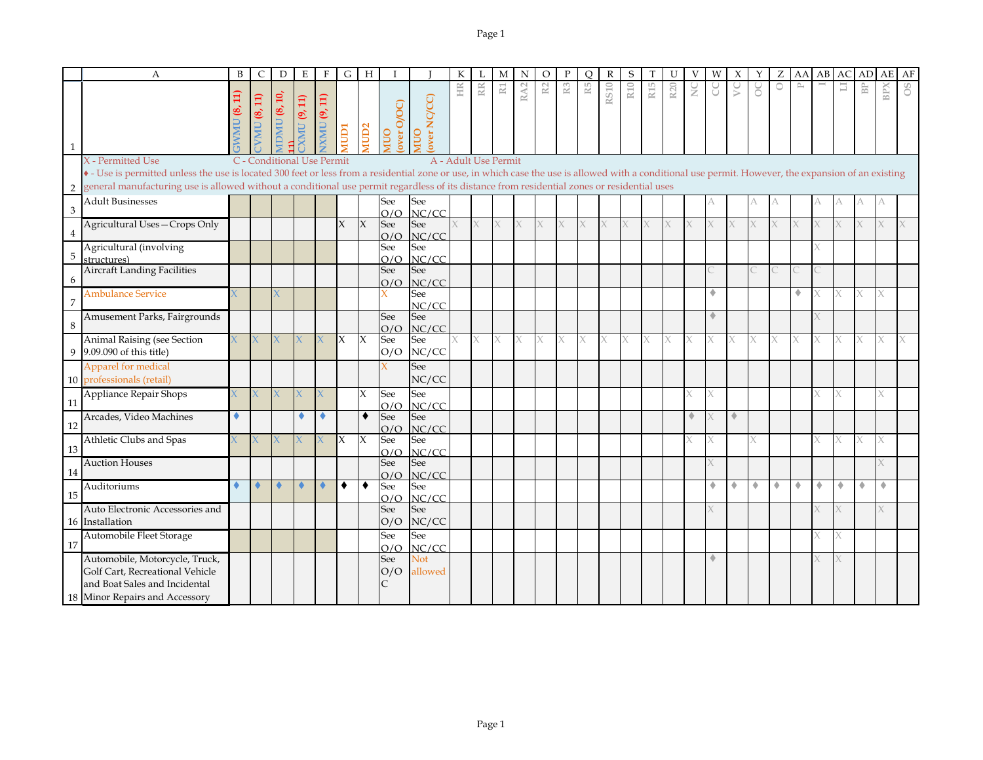|                | $\mathbf{A}$                                                                                                                                                                                                               | B  | C                  | D                          | E               | F                   | $\overline{G}$ | $_{\rm H}$       |                   |                            | К                    |    | M | N       | O  |                | O  | $\mathbb{R}$ | S   |                 | U               |               | W |        |        |         | AA           | AB                   | AC                   | AD                        | AE  | AF |
|----------------|----------------------------------------------------------------------------------------------------------------------------------------------------------------------------------------------------------------------------|----|--------------------|----------------------------|-----------------|---------------------|----------------|------------------|-------------------|----------------------------|----------------------|----|---|---------|----|----------------|----|--------------|-----|-----------------|-----------------|---------------|---|--------|--------|---------|--------------|----------------------|----------------------|---------------------------|-----|----|
| $\mathbf{1}$   |                                                                                                                                                                                                                            | œ, | <b>VMU (8, 11)</b> | $\text{IDMU}$ (8, 10,      | $XMU$ (9, 11)   | <b>IXMU (9, 11)</b> | <b>ICIDI</b>   | MUD <sub>2</sub> | over O/OC)<br>ONK | over NC/CC)<br><b>OUIN</b> | HR                   | RR | N | A2<br>๔ | R2 | R <sub>3</sub> | R5 | RS10         | R10 | R <sub>15</sub> | R <sub>20</sub> | $\frac{C}{Z}$ | g | $\geq$ | ŏ      | $\circ$ | $\mathbb{P}$ |                      | ⊒                    | $\mathbb{B}^{\mathbb{P}}$ | BPX | 8O |
|                | X - Permitted Use<br>• - Use is permitted unless the use is located 300 feet or less from a residential zone or use, in which case the use is allowed with a conditional use permit. However, the expansion of an existing |    |                    | C - Conditional Use Permit |                 |                     |                |                  |                   |                            | A - Adult Use Permit |    |   |         |    |                |    |              |     |                 |                 |               |   |        |        |         |              |                      |                      |                           |     |    |
| $\overline{2}$ | general manufacturing use is allowed without a conditional use permit regardless of its distance from residential zones or residential uses                                                                                |    |                    |                            |                 |                     |                |                  |                   |                            |                      |    |   |         |    |                |    |              |     |                 |                 |               |   |        |        |         |              |                      |                      |                           |     |    |
|                | <b>Adult Businesses</b>                                                                                                                                                                                                    |    |                    |                            |                 |                     |                |                  | See               | See                        |                      |    |   |         |    |                |    |              |     |                 |                 |               |   |        |        | А       |              |                      |                      |                           |     |    |
| 3              |                                                                                                                                                                                                                            |    |                    |                            |                 |                     |                |                  | O/O               | NC/CC                      |                      |    |   |         |    |                |    |              |     |                 |                 |               |   |        |        |         |              |                      |                      |                           |     |    |
|                | Agricultural Uses-Crops Only                                                                                                                                                                                               |    |                    |                            |                 |                     | X              | $\mathsf{X}$     | See<br>O/O        | See<br>NC/CC               | X.                   | X  | X | X.      |    | X              | X  | X.           | X   | X               | X.              |               |   | X      |        | X       |              |                      |                      |                           |     |    |
|                | Agricultural (involving                                                                                                                                                                                                    |    |                    |                            |                 |                     |                |                  | See               | See                        |                      |    |   |         |    |                |    |              |     |                 |                 |               |   |        |        |         |              |                      |                      |                           |     |    |
| 5              | structures)                                                                                                                                                                                                                |    |                    |                            |                 |                     |                |                  | O/O               | NC/CC                      |                      |    |   |         |    |                |    |              |     |                 |                 |               |   |        |        |         |              |                      |                      |                           |     |    |
| 6              | Aircraft Landing Facilities                                                                                                                                                                                                |    |                    |                            |                 |                     |                |                  | See<br>O/O        | See<br>NC/CC               |                      |    |   |         |    |                |    |              |     |                 |                 |               |   |        |        |         |              |                      |                      |                           |     |    |
| 7              | <b>Ambulance Service</b>                                                                                                                                                                                                   |    |                    |                            |                 |                     |                |                  |                   | See<br>NC/CC               |                      |    |   |         |    |                |    |              |     |                 |                 |               |   |        |        |         | ۰            |                      |                      | X                         |     |    |
|                | Amusement Parks, Fairgrounds                                                                                                                                                                                               |    |                    |                            |                 |                     |                |                  | See               | See                        |                      |    |   |         |    |                |    |              |     |                 |                 |               | ٠ |        |        |         |              |                      |                      |                           |     |    |
| 8              |                                                                                                                                                                                                                            |    |                    |                            |                 |                     |                |                  | O/O               | NC/CC                      |                      |    |   |         |    |                |    |              |     |                 |                 |               |   |        |        |         |              |                      |                      |                           |     |    |
| 9              | Animal Raising (see Section<br>9.09.090 of this title)                                                                                                                                                                     |    | X                  |                            |                 |                     | X              | $\mathsf{X}$     | See<br>O/O        | See<br>NC/CC               | X.                   | X  | X | X.      |    | X              | X  | X            | X   | X               | X.              |               |   | X      |        | X       | X            |                      |                      |                           | X   |    |
|                | Apparel for medical                                                                                                                                                                                                        |    |                    |                            |                 |                     |                |                  |                   | See                        |                      |    |   |         |    |                |    |              |     |                 |                 |               |   |        |        |         |              |                      |                      |                           |     |    |
|                | 10 professionals (retail)                                                                                                                                                                                                  |    |                    |                            |                 |                     |                |                  |                   | NC/CC                      |                      |    |   |         |    |                |    |              |     |                 |                 |               |   |        |        |         |              |                      |                      |                           |     |    |
| 11             | Appliance Repair Shops                                                                                                                                                                                                     |    | X                  | $\mathsf{X}$               |                 | X                   |                | $\mathsf{X}$     | See<br>O/O        | See<br>NC/CC               |                      |    |   |         |    |                |    |              |     |                 |                 |               |   |        |        |         |              |                      |                      |                           |     |    |
|                | Arcades, Video Machines                                                                                                                                                                                                    |    |                    |                            |                 |                     |                | $\bullet$        | See               | See                        |                      |    |   |         |    |                |    |              |     |                 |                 |               |   | ۰      |        |         |              |                      |                      |                           |     |    |
| 12             | Athletic Clubs and Spas                                                                                                                                                                                                    |    | X                  |                            |                 |                     | ΙX             | $\mathsf{X}$     | O/O<br>See        | NC/CC<br>See               |                      |    |   |         |    |                |    |              |     |                 |                 |               |   |        |        |         |              |                      |                      |                           | X   |    |
| 13             |                                                                                                                                                                                                                            |    |                    |                            |                 |                     |                |                  | O/O               | NC/CC                      |                      |    |   |         |    |                |    |              |     |                 |                 |               |   |        |        |         |              |                      |                      |                           |     |    |
|                | <b>Auction Houses</b>                                                                                                                                                                                                      |    |                    |                            |                 |                     |                |                  | See               | See                        |                      |    |   |         |    |                |    |              |     |                 |                 |               |   |        |        |         |              |                      |                      |                           |     |    |
| 14             | Auditoriums                                                                                                                                                                                                                |    | ۰                  | $\blacklozenge$            | $\blacklozenge$ |                     | ٠              | $\bullet$        | O/O               | NC/CC<br>See               |                      |    |   |         |    |                |    |              |     |                 |                 |               | ۰ | ۰      | $\Phi$ | ۰       | ۰            | $\ddot{\phantom{1}}$ | $\ddot{\phantom{1}}$ | $\triangle$               | ۰   |    |
| 15             |                                                                                                                                                                                                                            |    |                    |                            |                 |                     |                |                  | See<br>O/O        | NC/CC                      |                      |    |   |         |    |                |    |              |     |                 |                 |               |   |        |        |         |              |                      |                      |                           |     |    |
|                | Auto Electronic Accessories and                                                                                                                                                                                            |    |                    |                            |                 |                     |                |                  | See               | See                        |                      |    |   |         |    |                |    |              |     |                 |                 |               |   |        |        |         |              |                      |                      |                           |     |    |
|                | 16 Installation                                                                                                                                                                                                            |    |                    |                            |                 |                     |                |                  | O/O               | NC/CC                      |                      |    |   |         |    |                |    |              |     |                 |                 |               |   |        |        |         |              |                      |                      |                           |     |    |
| 17             | Automobile Fleet Storage                                                                                                                                                                                                   |    |                    |                            |                 |                     |                |                  | See               | See                        |                      |    |   |         |    |                |    |              |     |                 |                 |               |   |        |        |         |              |                      |                      |                           |     |    |
|                | Automobile, Motorcycle, Truck,                                                                                                                                                                                             |    |                    |                            |                 |                     |                |                  | O/O<br>See        | NC/CC<br><b>Not</b>        |                      |    |   |         |    |                |    |              |     |                 |                 |               |   |        |        |         |              |                      |                      |                           |     |    |
|                | Golf Cart, Recreational Vehicle                                                                                                                                                                                            |    |                    |                            |                 |                     |                |                  | O/O               | allowed                    |                      |    |   |         |    |                |    |              |     |                 |                 |               |   |        |        |         |              |                      |                      |                           |     |    |
|                | and Boat Sales and Incidental                                                                                                                                                                                              |    |                    |                            |                 |                     |                |                  |                   |                            |                      |    |   |         |    |                |    |              |     |                 |                 |               |   |        |        |         |              |                      |                      |                           |     |    |
|                | 18 Minor Repairs and Accessory                                                                                                                                                                                             |    |                    |                            |                 |                     |                |                  |                   |                            |                      |    |   |         |    |                |    |              |     |                 |                 |               |   |        |        |         |              |                      |                      |                           |     |    |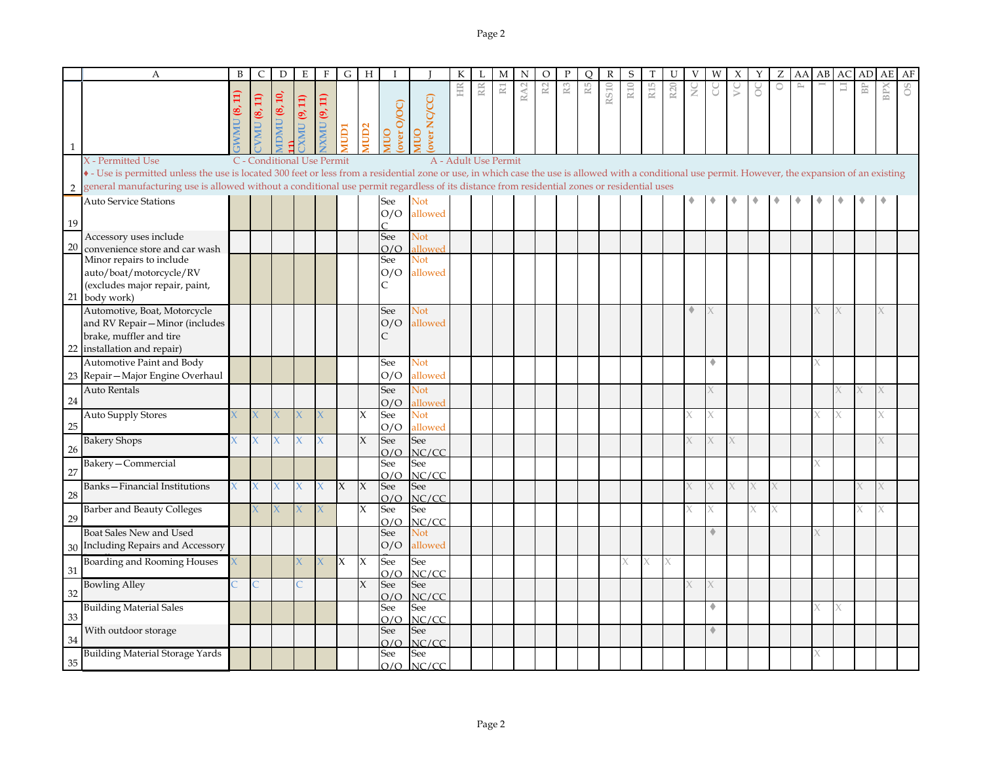|                | A                                                                                                                                                                                                                                                                                                                                                                         | B  | C            | D              | E           | F                          | G            | Н           |                          |                                  | К                    |    | М              | N   | O  |                | С  | R           | S               |                 |                 |   |             |   |        | Z       | AA        | AB | AC | AГ        | AE  | AF |
|----------------|---------------------------------------------------------------------------------------------------------------------------------------------------------------------------------------------------------------------------------------------------------------------------------------------------------------------------------------------------------------------------|----|--------------|----------------|-------------|----------------------------|--------------|-------------|--------------------------|----------------------------------|----------------------|----|----------------|-----|----|----------------|----|-------------|-----------------|-----------------|-----------------|---|-------------|---|--------|---------|-----------|----|----|-----------|-----|----|
| $\mathbf{1}$   |                                                                                                                                                                                                                                                                                                                                                                           | ë, | $MU$ (8, 11) | IDMU $(8, 10)$ | XMU (9, 11) | IXMU (9, 11)               | <b>IGION</b> | <b>NUD2</b> | over O/OC)<br>ONN        | over NC/CC)<br>OUIN              | HR                   | RR | $\mathbbm{R}1$ | RA2 | R2 | $\mathbb{R}^3$ | R5 | <b>RS10</b> | R <sub>10</sub> | R <sub>15</sub> | R <sub>20</sub> | ž | J           | S | ŏ      | $\circ$ | $\approx$ |    | 冒  | <b>BP</b> | BPX |    |
| $\overline{2}$ | X - Permitted Use<br>• - Use is permitted unless the use is located 300 feet or less from a residential zone or use, in which case the use is allowed with a conditional use permit. However, the expansion of an existing<br>general manufacturing use is allowed without a conditional use permit regardless of its distance from residential zones or residential uses |    |              |                |             | C - Conditional Use Permit |              |             |                          |                                  | A - Adult Use Permit |    |                |     |    |                |    |             |                 |                 |                 |   |             |   |        |         |           |    |    |           |     |    |
| 19             | <b>Auto Service Stations</b>                                                                                                                                                                                                                                                                                                                                              |    |              |                |             |                            |              |             | See<br>O/O               | Not<br>allowed                   |                      |    |                |     |    |                |    |             |                 |                 |                 |   |             |   |        |         |           |    |    |           |     |    |
| 20             | Accessory uses include<br>convenience store and car wash<br>Minor repairs to include<br>auto/boat/motorcycle/RV                                                                                                                                                                                                                                                           |    |              |                |             |                            |              |             | See<br>O/O<br>See<br>O/O | Not<br>allowed<br>Not<br>allowed |                      |    |                |     |    |                |    |             |                 |                 |                 |   |             |   |        |         |           |    |    |           |     |    |
|                | (excludes major repair, paint,<br>21 body work)<br>Automotive, Boat, Motorcycle<br>and RV Repair-Minor (includes                                                                                                                                                                                                                                                          |    |              |                |             |                            |              |             | C<br>See<br>O/O          | Not<br>allowed                   |                      |    |                |     |    |                |    |             |                 |                 |                 | ٠ |             |   |        |         |           |    |    |           |     |    |
| 22             | brake, muffler and tire<br>installation and repair)<br>Automotive Paint and Body<br>23 Repair - Major Engine Overhaul                                                                                                                                                                                                                                                     |    |              |                |             |                            |              |             | C<br>See<br>O/O          | Not<br>allowed                   |                      |    |                |     |    |                |    |             |                 |                 |                 |   | ٠           |   |        |         |           |    |    |           |     |    |
| 24             | <b>Auto Rentals</b>                                                                                                                                                                                                                                                                                                                                                       |    |              |                |             |                            |              |             | See<br>O/O               | <b>Not</b><br>allowed            |                      |    |                |     |    |                |    |             |                 |                 |                 |   |             |   |        |         |           |    |    | X         |     |    |
| 25             | <b>Auto Supply Stores</b><br><b>Bakery Shops</b>                                                                                                                                                                                                                                                                                                                          |    |              |                |             |                            |              | X<br>$\chi$ | See<br>O/O<br>See        | Not<br>allowed<br>See            |                      |    |                |     |    |                |    |             |                 |                 |                 |   |             |   |        |         |           |    |    |           |     |    |
| 26<br>27       | Bakery-Commercial                                                                                                                                                                                                                                                                                                                                                         |    |              |                |             |                            |              |             | O/O<br>See<br>O/O        | NC/CC<br>See<br>NC/CC            |                      |    |                |     |    |                |    |             |                 |                 |                 |   |             |   |        |         |           |    |    |           |     |    |
| 28             | Banks-Financial Institutions<br><b>Barber and Beauty Colleges</b>                                                                                                                                                                                                                                                                                                         |    | $\mathsf{X}$ | $\chi$         | $\bf{X}$    | $\mathbf{x}$               | $\mathsf{X}$ | $\chi$<br>X | See<br>O/O<br>See        | See<br>NC/CC<br>See              |                      |    |                |     |    |                |    |             |                 |                 |                 |   |             |   | X<br>X |         |           |    |    | X<br>K    |     |    |
| 29             | Boat Sales New and Used<br>30 Including Repairs and Accessory                                                                                                                                                                                                                                                                                                             |    |              |                |             |                            |              |             | O/O<br>See<br>O/O        | NC/CC<br>Not<br>allowed          |                      |    |                |     |    |                |    |             |                 |                 |                 |   | $\triangle$ |   |        |         |           |    |    |           |     |    |
| 31             | Boarding and Rooming Houses                                                                                                                                                                                                                                                                                                                                               |    |              |                |             |                            | X            | X           | See<br>O/O               | See<br>NC/CC                     |                      |    |                |     |    |                |    |             |                 | X               |                 |   |             |   |        |         |           |    |    |           |     |    |
| 32             | <b>Bowling Alley</b><br><b>Building Material Sales</b>                                                                                                                                                                                                                                                                                                                    |    |              |                |             |                            |              | X           | See<br>O/O<br>See        | See<br>NC/CC<br>See              |                      |    |                |     |    |                |    |             |                 |                 |                 |   | ۵           |   |        |         |           |    |    |           |     |    |
| 33<br>34       | With outdoor storage                                                                                                                                                                                                                                                                                                                                                      |    |              |                |             |                            |              |             | O/O<br>See<br>O/O        | NC/CC<br>See<br>NC/CC            |                      |    |                |     |    |                |    |             |                 |                 |                 |   | $\triangle$ |   |        |         |           |    |    |           |     |    |
| 35             | <b>Building Material Storage Yards</b>                                                                                                                                                                                                                                                                                                                                    |    |              |                |             |                            |              |             | See<br>O/O               | See<br>NC/CC                     |                      |    |                |     |    |                |    |             |                 |                 |                 |   |             |   |        |         |           |    |    |           |     |    |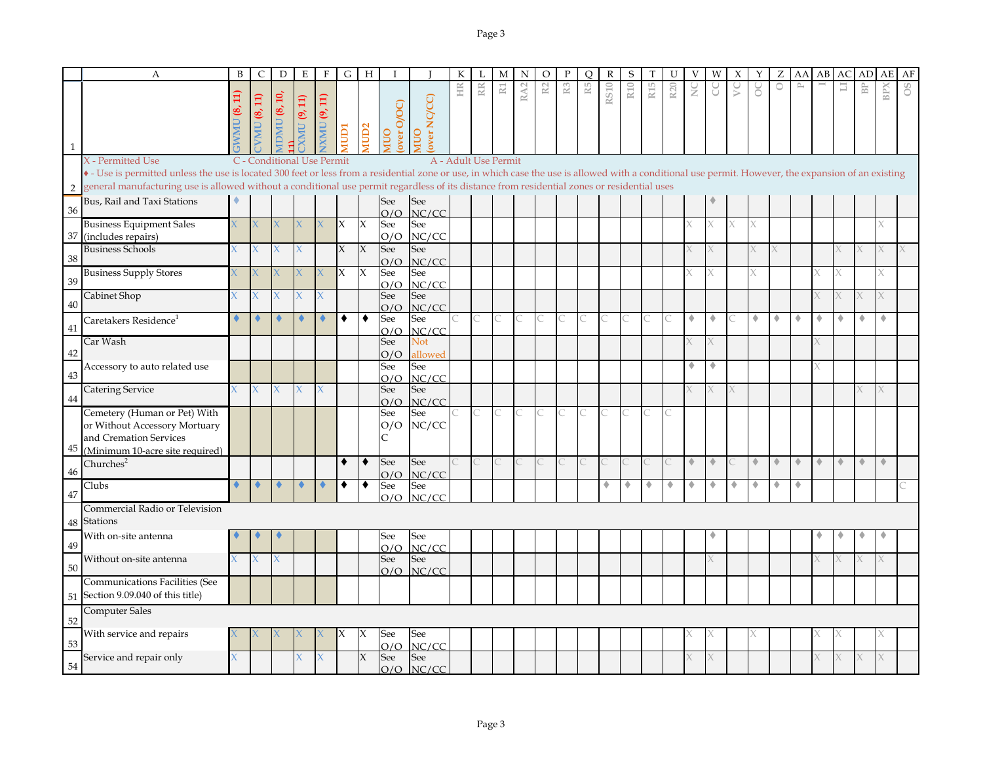|                | A                                                                                                                                                                                                                                                                                                                                                                         | B                    | C                                     | D                          | Е                  | F           | G                  | H                   |                   |                            |    |     | M                    | N               | $\Omega$       |                | Ω  | R           | S               |                 |                 |                      |             |   |                      |   | AA                          | AB | AC.                  | АD                        | AE                  | AF |
|----------------|---------------------------------------------------------------------------------------------------------------------------------------------------------------------------------------------------------------------------------------------------------------------------------------------------------------------------------------------------------------------------|----------------------|---------------------------------------|----------------------------|--------------------|-------------|--------------------|---------------------|-------------------|----------------------------|----|-----|----------------------|-----------------|----------------|----------------|----|-------------|-----------------|-----------------|-----------------|----------------------|-------------|---|----------------------|---|-----------------------------|----|----------------------|---------------------------|---------------------|----|
| $\mathbf{1}$   |                                                                                                                                                                                                                                                                                                                                                                           | (8, 11)<br><b>UM</b> | $MU$ (8, 11)                          | <b>IDMU</b> (8, 10,        | <b>CMU (9, 11)</b> | XMU (9, 11) | ICIDI              | MUD <sub>2</sub>    | over O/OC)<br>OUN | over NC/CC)<br>OUIN        | HR | RR. | $\mathbb R1$         | RA <sub>2</sub> | $\mathbb{R}^2$ | R <sub>3</sub> | R5 | <b>RS10</b> | R <sub>10</sub> | R <sub>15</sub> | R <sub>20</sub> | ž                    | g           | S | ŏ                    | 0 | $\rightarrow$               |    | Ξ                    | $\mathbb{B}^{\mathbb{P}}$ | BPX                 | SO |
| $\overline{2}$ | X - Permitted Use<br>• - Use is permitted unless the use is located 300 feet or less from a residential zone or use, in which case the use is allowed with a conditional use permit. However, the expansion of an existing<br>general manufacturing use is allowed without a conditional use permit regardless of its distance from residential zones or residential uses |                      |                                       | C - Conditional Use Permit |                    |             |                    |                     |                   |                            |    |     | A - Adult Use Permit |                 |                |                |    |             |                 |                 |                 |                      |             |   |                      |   |                             |    |                      |                           |                     |    |
| 36             | Bus, Rail and Taxi Stations                                                                                                                                                                                                                                                                                                                                               |                      |                                       |                            |                    |             |                    |                     | See<br>O/O        | <b>See</b><br>NC/CC        |    |     |                      |                 |                |                |    |             |                 |                 |                 |                      |             |   |                      |   |                             |    |                      |                           |                     |    |
| 37             | <b>Business Equipment Sales</b><br>(includes repairs)                                                                                                                                                                                                                                                                                                                     |                      |                                       |                            |                    |             | X                  | X                   | See<br>O/O        | See<br>NC/CC               |    |     |                      |                 |                |                |    |             |                 |                 |                 |                      | X           |   | X                    |   |                             |    |                      |                           |                     |    |
| 38             | <b>Business Schools</b>                                                                                                                                                                                                                                                                                                                                                   |                      | $\mathsf{X}^{\scriptscriptstyle\top}$ |                            |                    |             | $\chi$             | $\mathsf{X}$        | See<br>O/O        | See<br>NC/CC               |    |     |                      |                 |                |                |    |             |                 |                 |                 |                      |             |   |                      |   |                             |    |                      |                           |                     |    |
| 39             | <b>Business Supply Stores</b>                                                                                                                                                                                                                                                                                                                                             |                      |                                       |                            |                    |             | $\mathsf{X}% _{0}$ | $\boldsymbol{\chi}$ | See<br>O/O        | See<br>NC/CC               |    |     |                      |                 |                |                |    |             |                 |                 |                 |                      |             |   |                      |   |                             |    |                      |                           | X                   |    |
| 40             | Cabinet Shop                                                                                                                                                                                                                                                                                                                                                              | X                    | X.<br>۵                               | $\mathsf{X}$               | X                  | X           | ٠                  | $\bullet$           | See<br>O/O        | See<br>NC/CC               |    |     |                      |                 |                |                |    |             |                 |                 |                 | ۰                    | ۰           |   | ۰                    | ٠ | ۰                           | ٠  | ۰                    |                           | ٠                   |    |
| 41             | Caretakers Residence <sup>1</sup><br>Car Wash                                                                                                                                                                                                                                                                                                                             |                      |                                       |                            |                    |             |                    |                     | See<br>O/O<br>See | See<br>NC/CC<br><b>Not</b> |    | C   | Ċ                    |                 |                |                |    |             |                 |                 |                 |                      |             |   |                      |   |                             |    |                      |                           |                     |    |
| 42             | Accessory to auto related use                                                                                                                                                                                                                                                                                                                                             |                      |                                       |                            |                    |             |                    |                     | O/O<br>See        | allowed<br>See             |    |     |                      |                 |                |                |    |             |                 |                 |                 | ۰                    | ۰           |   |                      |   |                             |    |                      |                           |                     |    |
| 43             | <b>Catering Service</b>                                                                                                                                                                                                                                                                                                                                                   | X                    | X.                                    | $\overline{X}$             |                    | X           |                    |                     | O/O<br>See        | NC/CC<br>See               |    |     |                      |                 |                |                |    |             |                 |                 |                 |                      |             |   |                      |   |                             |    |                      |                           | X                   |    |
| 44             | Cemetery (Human or Pet) With                                                                                                                                                                                                                                                                                                                                              |                      |                                       |                            |                    |             |                    |                     | O/O<br>See        | NC/CC<br>See               |    | C   | C                    |                 |                |                |    |             |                 |                 |                 |                      |             |   |                      |   |                             |    |                      |                           |                     |    |
| 45             | or Without Accessory Mortuary<br>and Cremation Services<br>(Minimum 10-acre site required)                                                                                                                                                                                                                                                                                |                      |                                       |                            |                    |             |                    |                     | O/O<br>C          | NC/CC                      |    |     |                      |                 |                |                |    |             |                 |                 |                 |                      |             |   |                      |   |                             |    |                      |                           |                     |    |
| 46             | Churches <sup>2</sup>                                                                                                                                                                                                                                                                                                                                                     |                      |                                       |                            |                    |             | ٠                  | $\bullet$           | See<br>O/O        | See<br>NC/CC               |    |     |                      |                 |                |                |    |             |                 |                 |                 | $\ddot{\phantom{1}}$ | $\triangle$ |   | $\ddot{\phantom{1}}$ | ۰ | $\color{red} \blacklozenge$ | ۰  | $\ddot{\phantom{1}}$ | $\triangle$               | $\hat{\phantom{a}}$ |    |
| 47             | Clubs                                                                                                                                                                                                                                                                                                                                                                     |                      | ٠                                     | $\blacklozenge$            |                    |             | ٠                  | ٠                   | See<br>O/O        | See<br>NC/CC               |    |     |                      |                 |                |                |    | ۰           | ۰               | ۰               | ۰               | ۰                    | ٠           | ٠ | ۰                    | ۰ | ۰                           |    |                      |                           |                     |    |
| 48             | Commercial Radio or Television<br><b>Stations</b>                                                                                                                                                                                                                                                                                                                         |                      |                                       |                            |                    |             |                    |                     |                   |                            |    |     |                      |                 |                |                |    |             |                 |                 |                 |                      |             |   |                      |   |                             |    |                      |                           |                     |    |
| 49             | With on-site antenna                                                                                                                                                                                                                                                                                                                                                      |                      |                                       |                            |                    |             |                    |                     | See<br>O/O        | See<br>NC/CC               |    |     |                      |                 |                |                |    |             |                 |                 |                 |                      |             |   |                      |   |                             |    |                      |                           |                     |    |
| 50             | Without on-site antenna                                                                                                                                                                                                                                                                                                                                                   | $\chi$               | X.                                    |                            |                    |             |                    |                     | See<br>O/O        | See<br>NC/CC               |    |     |                      |                 |                |                |    |             |                 |                 |                 |                      |             |   |                      |   |                             |    |                      |                           |                     |    |
| 51             | Communications Facilities (See<br>Section 9.09.040 of this title)                                                                                                                                                                                                                                                                                                         |                      |                                       |                            |                    |             |                    |                     |                   |                            |    |     |                      |                 |                |                |    |             |                 |                 |                 |                      |             |   |                      |   |                             |    |                      |                           |                     |    |
| 52             | <b>Computer Sales</b>                                                                                                                                                                                                                                                                                                                                                     |                      |                                       |                            |                    |             |                    |                     |                   |                            |    |     |                      |                 |                |                |    |             |                 |                 |                 |                      |             |   |                      |   |                             |    |                      |                           |                     |    |
| 53             | With service and repairs                                                                                                                                                                                                                                                                                                                                                  |                      |                                       |                            |                    |             | Х                  | IX                  | See<br>O/O        | See<br>NC/CC               |    |     |                      |                 |                |                |    |             |                 |                 |                 |                      |             |   |                      |   |                             |    |                      |                           |                     |    |
| 54             | Service and repair only                                                                                                                                                                                                                                                                                                                                                   | X                    |                                       |                            |                    |             |                    | $\mathsf{X}$        | See<br>O/O        | See<br>NC/CC               |    |     |                      |                 |                |                |    |             |                 |                 |                 |                      |             |   |                      |   |                             |    |                      |                           | X                   |    |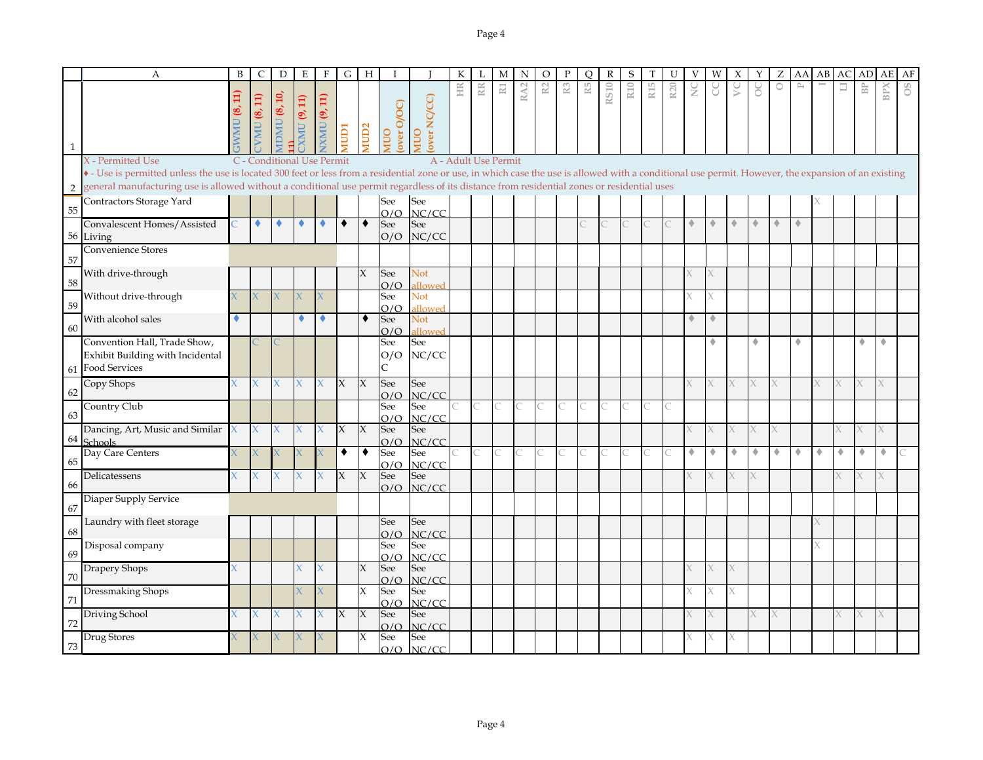|    | A                                                                                                                                                                                                     | B           | C                          | D                   | Ε         | F                                     | G      | Н                   |                   |                     |    |                      | М              | N               | O              |                | O  |             | S               |                 |                 |        | W | Х      |    | Ζ       | AA        | АB | AC | AD                      | AE  | AF |
|----|-------------------------------------------------------------------------------------------------------------------------------------------------------------------------------------------------------|-------------|----------------------------|---------------------|-----------|---------------------------------------|--------|---------------------|-------------------|---------------------|----|----------------------|----------------|-----------------|----------------|----------------|----|-------------|-----------------|-----------------|-----------------|--------|---|--------|----|---------|-----------|----|----|-------------------------|-----|----|
|    |                                                                                                                                                                                                       | $\Xi$<br>®, | $TVMU$ (8, 11)             | <b>MDMU (8, 10,</b> | MUC(9,11) | $\overline{11}$<br>VXMU <sub>(9</sub> | NUD1   | MUD <sub>2</sub>    | over O/OC)<br>OUM | over NC/CC)<br>OUIN | HR | RR                   | $\mathbbm{R}1$ | RA <sub>2</sub> | R <sub>2</sub> | $\mathbb{R}^3$ | R5 | <b>RS10</b> | R <sub>10</sub> | R <sub>15</sub> | R <sub>20</sub> | $\geq$ | g | $\sum$ | ိ  | $\circ$ | $\approx$ |    | 급  | $\mathbb{B} \mathbb{P}$ | BPX | 8O |
|    | X - Permitted Use                                                                                                                                                                                     |             | C - Conditional Use Permit |                     |           |                                       |        |                     |                   |                     |    | A - Adult Use Permit |                |                 |                |                |    |             |                 |                 |                 |        |   |        |    |         |           |    |    |                         |     |    |
|    | • - Use is permitted unless the use is located 300 feet or less from a residential zone or use, in which case the use is allowed with a conditional use permit. However, the expansion of an existing |             |                            |                     |           |                                       |        |                     |                   |                     |    |                      |                |                 |                |                |    |             |                 |                 |                 |        |   |        |    |         |           |    |    |                         |     |    |
| 2  | general manufacturing use is allowed without a conditional use permit regardless of its distance from residential zones or residential uses                                                           |             |                            |                     |           |                                       |        |                     |                   |                     |    |                      |                |                 |                |                |    |             |                 |                 |                 |        |   |        |    |         |           |    |    |                         |     |    |
|    | Contractors Storage Yard                                                                                                                                                                              |             |                            |                     |           |                                       |        |                     | See               | See                 |    |                      |                |                 |                |                |    |             |                 |                 |                 |        |   |        |    |         |           |    |    |                         |     |    |
| 55 |                                                                                                                                                                                                       |             |                            |                     |           |                                       |        |                     | O/O               | NC/CC               |    |                      |                |                 |                |                |    |             |                 |                 |                 |        |   |        |    |         |           |    |    |                         |     |    |
|    | Convalescent Homes/Assisted                                                                                                                                                                           |             | ۰                          |                     |           |                                       | ٠      | ۰                   | See               | See                 |    |                      |                |                 |                |                |    |             |                 |                 |                 |        |   |        |    |         | ٠         |    |    |                         |     |    |
|    | 56 Living                                                                                                                                                                                             |             |                            |                     |           |                                       |        |                     | O/O               | NC/CC               |    |                      |                |                 |                |                |    |             |                 |                 |                 |        |   |        |    |         |           |    |    |                         |     |    |
| 57 | <b>Convenience Stores</b>                                                                                                                                                                             |             |                            |                     |           |                                       |        |                     |                   |                     |    |                      |                |                 |                |                |    |             |                 |                 |                 |        |   |        |    |         |           |    |    |                         |     |    |
|    | With drive-through                                                                                                                                                                                    |             |                            |                     |           |                                       |        | X                   | See               | Not                 |    |                      |                |                 |                |                |    |             |                 |                 |                 |        |   |        |    |         |           |    |    |                         |     |    |
| 58 |                                                                                                                                                                                                       |             |                            |                     |           |                                       |        |                     | O/O               | allowed             |    |                      |                |                 |                |                |    |             |                 |                 |                 |        |   |        |    |         |           |    |    |                         |     |    |
|    | Without drive-through                                                                                                                                                                                 |             |                            |                     |           |                                       |        |                     | See               | Not                 |    |                      |                |                 |                |                |    |             |                 |                 |                 |        |   |        |    |         |           |    |    |                         |     |    |
| 59 |                                                                                                                                                                                                       |             |                            |                     |           |                                       |        |                     | O/O               | allowed             |    |                      |                |                 |                |                |    |             |                 |                 |                 |        |   |        |    |         |           |    |    |                         |     |    |
| 60 | With alcohol sales                                                                                                                                                                                    | ٠           |                            |                     |           |                                       |        | $\bullet$           | See               | Not                 |    |                      |                |                 |                |                |    |             |                 |                 |                 |        |   |        |    |         |           |    |    |                         |     |    |
|    | Convention Hall, Trade Show,                                                                                                                                                                          |             |                            |                     |           |                                       |        |                     | O/O<br>See        | allowed<br>See      |    |                      |                |                 |                |                |    |             |                 |                 |                 |        |   |        | ۰  |         | ۰         |    |    | ٠                       | ۵   |    |
|    | Exhibit Building with Incidental                                                                                                                                                                      |             |                            |                     |           |                                       |        |                     | O/O               | NC/CC               |    |                      |                |                 |                |                |    |             |                 |                 |                 |        |   |        |    |         |           |    |    |                         |     |    |
|    | 61 Food Services                                                                                                                                                                                      |             |                            |                     |           |                                       |        |                     | C                 |                     |    |                      |                |                 |                |                |    |             |                 |                 |                 |        |   |        |    |         |           |    |    |                         |     |    |
|    | Copy Shops                                                                                                                                                                                            |             | X                          |                     |           |                                       | X      | $\overline{X}$      | See               | See                 |    |                      |                |                 |                |                |    |             |                 |                 |                 |        |   | X      |    |         |           |    |    |                         |     |    |
| 62 |                                                                                                                                                                                                       |             |                            |                     |           |                                       |        |                     | O/O               | NC/CC               |    |                      |                |                 |                |                |    |             |                 |                 |                 |        |   |        |    |         |           |    |    |                         |     |    |
|    | Country Club                                                                                                                                                                                          |             |                            |                     |           |                                       |        |                     | See               | See                 |    |                      |                |                 |                |                |    |             |                 |                 |                 |        |   |        |    |         |           |    |    |                         |     |    |
| 63 |                                                                                                                                                                                                       |             |                            |                     |           |                                       |        |                     | O/O               | NC/CC               |    |                      |                |                 |                |                |    |             |                 |                 |                 |        |   |        |    |         |           |    |    |                         |     |    |
|    | Dancing, Art, Music and Similar                                                                                                                                                                       | Х           | $\chi$                     |                     |           |                                       | X      | $\mathsf{X}$        | See               | See                 |    |                      |                |                 |                |                |    |             |                 |                 |                 |        |   |        |    |         |           |    |    |                         |     |    |
| 64 | <b>Schools</b>                                                                                                                                                                                        |             |                            |                     |           |                                       |        |                     | O/O               | NC/CC               |    |                      |                |                 |                |                |    |             |                 |                 |                 | ۰      | ٠ | ٠      |    |         | ۰         |    |    | ٠                       | ۰   |    |
| 65 | Day Care Centers                                                                                                                                                                                      |             |                            |                     |           |                                       | ٠      | ٠                   | See<br>O/O        | See<br>NC/CC        |    |                      |                |                 |                |                |    |             |                 |                 |                 |        |   |        | ۰  |         |           | ۰  |    |                         |     |    |
|    | Delicatessens                                                                                                                                                                                         |             | X.                         | $\mathsf{X}$        |           |                                       | $\chi$ | $\overline{X}$      | See               | See                 |    |                      |                |                 |                |                |    |             |                 |                 |                 |        |   | X.     |    |         |           |    |    |                         |     |    |
| 66 |                                                                                                                                                                                                       |             |                            |                     |           |                                       |        |                     | O/O               | NC/CC               |    |                      |                |                 |                |                |    |             |                 |                 |                 |        |   |        |    |         |           |    |    |                         |     |    |
|    | Diaper Supply Service                                                                                                                                                                                 |             |                            |                     |           |                                       |        |                     |                   |                     |    |                      |                |                 |                |                |    |             |                 |                 |                 |        |   |        |    |         |           |    |    |                         |     |    |
| 67 |                                                                                                                                                                                                       |             |                            |                     |           |                                       |        |                     |                   |                     |    |                      |                |                 |                |                |    |             |                 |                 |                 |        |   |        |    |         |           |    |    |                         |     |    |
| 68 | Laundry with fleet storage                                                                                                                                                                            |             |                            |                     |           |                                       |        |                     | See               | See                 |    |                      |                |                 |                |                |    |             |                 |                 |                 |        |   |        |    |         |           |    |    |                         |     |    |
|    | Disposal company                                                                                                                                                                                      |             |                            |                     |           |                                       |        |                     | O/O<br>See        | NC/CC<br>See        |    |                      |                |                 |                |                |    |             |                 |                 |                 |        |   |        |    |         |           |    |    |                         |     |    |
| 69 |                                                                                                                                                                                                       |             |                            |                     |           |                                       |        |                     | O/O               | NC/CC               |    |                      |                |                 |                |                |    |             |                 |                 |                 |        |   |        |    |         |           |    |    |                         |     |    |
|    | Drapery Shops                                                                                                                                                                                         |             |                            |                     |           |                                       |        | X                   | See               | See                 |    |                      |                |                 |                |                |    |             |                 |                 |                 |        |   | X.     |    |         |           |    |    |                         |     |    |
| 70 |                                                                                                                                                                                                       |             |                            |                     |           |                                       |        |                     | O/O               | NC/CC               |    |                      |                |                 |                |                |    |             |                 |                 |                 |        |   |        |    |         |           |    |    |                         |     |    |
|    | Dressmaking Shops                                                                                                                                                                                     |             |                            |                     |           |                                       |        | X                   | See               | See                 |    |                      |                |                 |                |                |    |             |                 |                 |                 |        | Х | X.     |    |         |           |    |    |                         |     |    |
| 71 |                                                                                                                                                                                                       |             |                            |                     |           |                                       |        |                     | O/O               | NC/CC               |    |                      |                |                 |                |                |    |             |                 |                 |                 |        |   |        |    |         |           |    |    |                         |     |    |
| 72 | Driving School                                                                                                                                                                                        |             | X.                         | X                   |           | X                                     | X      | $\boldsymbol{\chi}$ | See<br>O/O        | See<br>NC/CC        |    |                      |                |                 |                |                |    |             |                 |                 |                 |        |   |        | X. | X       |           |    |    | X                       | X.  |    |
|    | Drug Stores                                                                                                                                                                                           |             |                            |                     |           |                                       |        | X                   | See               | See                 |    |                      |                |                 |                |                |    |             |                 |                 |                 |        |   |        |    |         |           |    |    |                         |     |    |
| 73 |                                                                                                                                                                                                       |             |                            |                     |           |                                       |        |                     | O/O               | NC/CC               |    |                      |                |                 |                |                |    |             |                 |                 |                 |        |   |        |    |         |           |    |    |                         |     |    |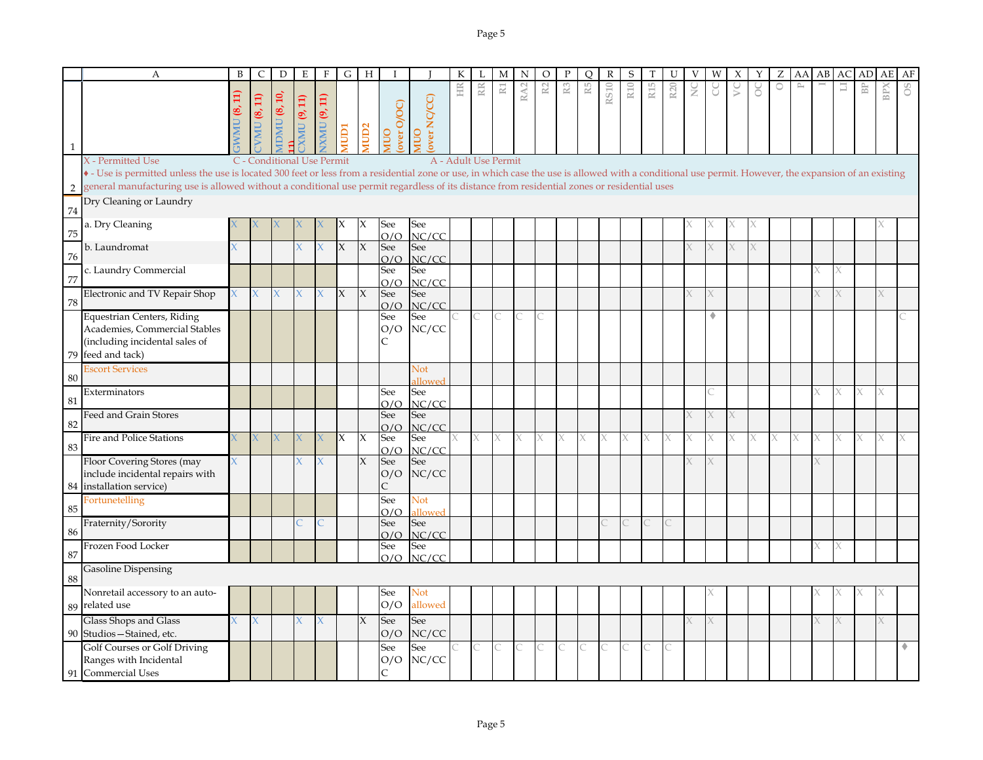|              | A                                                                                                                                                                                                                                                                                                                                                    | B             | $\mathsf{C}$      | D                                    | E                  | $\boldsymbol{F}$ | G                         | H                   |                   |                | К  |                      | М  | N               | $\circ$       |                | $\circ$ | $\mathbb{R}$ | S               |                 | U               | V | W | Х | Υ | Ζ | AA               | AB | AC | AD.                     | AE  | AF |
|--------------|------------------------------------------------------------------------------------------------------------------------------------------------------------------------------------------------------------------------------------------------------------------------------------------------------------------------------------------------------|---------------|-------------------|--------------------------------------|--------------------|------------------|---------------------------|---------------------|-------------------|----------------|----|----------------------|----|-----------------|---------------|----------------|---------|--------------|-----------------|-----------------|-----------------|---|---|---|---|---|------------------|----|----|-------------------------|-----|----|
|              |                                                                                                                                                                                                                                                                                                                                                      |               |                   |                                      |                    |                  |                           |                     |                   |                | HR | RR                   | R1 | RA <sub>2</sub> | $\mathbb{R}2$ | $\mathbb{R}^3$ | R5      | <b>RS10</b>  | R <sub>10</sub> | R <sub>15</sub> | R <sub>20</sub> | ž | J | S | ŏ | O | $\triangleright$ |    | 冒  | $\mathbb{B} \mathbb{P}$ | BPX | °O |
|              |                                                                                                                                                                                                                                                                                                                                                      | WMU $(8, 11)$ | <b>VMU</b> (8,11) | $\text{ADMU}$ (8, 10,                | XMU (9, 11)        | XMU (9, 11)      |                           |                     |                   | over NC/CC)    |    |                      |    |                 |               |                |         |              |                 |                 |                 |   |   |   |   |   |                  |    |    |                         |     |    |
|              |                                                                                                                                                                                                                                                                                                                                                      |               |                   |                                      |                    |                  |                           |                     |                   |                |    |                      |    |                 |               |                |         |              |                 |                 |                 |   |   |   |   |   |                  |    |    |                         |     |    |
|              |                                                                                                                                                                                                                                                                                                                                                      |               |                   |                                      |                    |                  | ICIDI                     | MUD <sub>2</sub>    | over O/OC)<br>ONN | OUIN           |    |                      |    |                 |               |                |         |              |                 |                 |                 |   |   |   |   |   |                  |    |    |                         |     |    |
| $\mathbf{1}$ |                                                                                                                                                                                                                                                                                                                                                      |               |                   |                                      |                    |                  |                           |                     |                   |                |    |                      |    |                 |               |                |         |              |                 |                 |                 |   |   |   |   |   |                  |    |    |                         |     |    |
|              | X - Permitted Use                                                                                                                                                                                                                                                                                                                                    |               |                   | C - Conditional Use Permit           |                    |                  |                           |                     |                   |                |    | A - Adult Use Permit |    |                 |               |                |         |              |                 |                 |                 |   |   |   |   |   |                  |    |    |                         |     |    |
| 2            | • - Use is permitted unless the use is located 300 feet or less from a residential zone or use, in which case the use is allowed with a conditional use permit. However, the expansion of an existing<br>general manufacturing use is allowed without a conditional use permit regardless of its distance from residential zones or residential uses |               |                   |                                      |                    |                  |                           |                     |                   |                |    |                      |    |                 |               |                |         |              |                 |                 |                 |   |   |   |   |   |                  |    |    |                         |     |    |
|              | Dry Cleaning or Laundry                                                                                                                                                                                                                                                                                                                              |               |                   |                                      |                    |                  |                           |                     |                   |                |    |                      |    |                 |               |                |         |              |                 |                 |                 |   |   |   |   |   |                  |    |    |                         |     |    |
| -74          |                                                                                                                                                                                                                                                                                                                                                      |               |                   |                                      |                    |                  |                           |                     |                   |                |    |                      |    |                 |               |                |         |              |                 |                 |                 |   |   |   |   |   |                  |    |    |                         |     |    |
| 75           | a. Dry Cleaning                                                                                                                                                                                                                                                                                                                                      |               |                   |                                      |                    |                  | х                         | ΙX.                 | See               | See            |    |                      |    |                 |               |                |         |              |                 |                 |                 |   |   |   |   |   |                  |    |    |                         |     |    |
|              | b. Laundromat                                                                                                                                                                                                                                                                                                                                        |               |                   |                                      |                    |                  | $\boldsymbol{\mathsf{X}}$ | $\mathsf X$         | O/O<br>See        | NC/CC<br>See   |    |                      |    |                 |               |                |         |              |                 |                 |                 |   |   |   |   |   |                  |    |    |                         |     |    |
| 76           |                                                                                                                                                                                                                                                                                                                                                      |               |                   |                                      |                    |                  |                           |                     | O/O               | NC/CC          |    |                      |    |                 |               |                |         |              |                 |                 |                 |   |   |   |   |   |                  |    |    |                         |     |    |
| 77           | c. Laundry Commercial                                                                                                                                                                                                                                                                                                                                |               |                   |                                      |                    |                  |                           |                     | See               | See            |    |                      |    |                 |               |                |         |              |                 |                 |                 |   |   |   |   |   |                  |    |    |                         |     |    |
|              | Electronic and TV Repair Shop                                                                                                                                                                                                                                                                                                                        |               | $\mathsf{X}$      | $\chi$                               | X                  | X                | $\mathsf{X}$              | $\mathsf{X}$        | O/O<br>See        | NC/CC<br>See   |    |                      |    |                 |               |                |         |              |                 |                 |                 |   |   |   |   |   |                  |    |    |                         | X.  |    |
| 78           |                                                                                                                                                                                                                                                                                                                                                      |               |                   |                                      |                    |                  |                           |                     | O/O               | NC/CC          |    |                      |    |                 |               |                |         |              |                 |                 |                 |   |   |   |   |   |                  |    |    |                         |     |    |
|              | Equestrian Centers, Riding                                                                                                                                                                                                                                                                                                                           |               |                   |                                      |                    |                  |                           |                     | See               | See            |    |                      |    |                 |               |                |         |              |                 |                 |                 |   |   |   |   |   |                  |    |    |                         |     |    |
|              | Academies, Commercial Stables<br>(including incidental sales of                                                                                                                                                                                                                                                                                      |               |                   |                                      |                    |                  |                           |                     | O/O               | NC/CC          |    |                      |    |                 |               |                |         |              |                 |                 |                 |   |   |   |   |   |                  |    |    |                         |     |    |
|              | 79 feed and tack)                                                                                                                                                                                                                                                                                                                                    |               |                   |                                      |                    |                  |                           |                     |                   |                |    |                      |    |                 |               |                |         |              |                 |                 |                 |   |   |   |   |   |                  |    |    |                         |     |    |
|              | <b>Escort Services</b>                                                                                                                                                                                                                                                                                                                               |               |                   |                                      |                    |                  |                           |                     |                   | <b>Not</b>     |    |                      |    |                 |               |                |         |              |                 |                 |                 |   |   |   |   |   |                  |    |    |                         |     |    |
| 80           |                                                                                                                                                                                                                                                                                                                                                      |               |                   |                                      |                    |                  |                           |                     |                   | allowed        |    |                      |    |                 |               |                |         |              |                 |                 |                 |   |   |   |   |   |                  |    |    |                         |     |    |
| 81           | Exterminators                                                                                                                                                                                                                                                                                                                                        |               |                   |                                      |                    |                  |                           |                     | See<br>O/O        | See<br>NC/CC   |    |                      |    |                 |               |                |         |              |                 |                 |                 |   |   |   |   |   |                  |    | Χ  | X                       | X   |    |
|              | Feed and Grain Stores                                                                                                                                                                                                                                                                                                                                |               |                   |                                      |                    |                  |                           |                     | See               | See            |    |                      |    |                 |               |                |         |              |                 |                 |                 |   |   |   |   |   |                  |    |    |                         |     |    |
| 82           |                                                                                                                                                                                                                                                                                                                                                      |               |                   |                                      |                    |                  |                           |                     | O/O               | NC/CC          |    |                      |    |                 |               |                |         |              |                 |                 |                 |   |   |   |   |   |                  |    |    |                         |     |    |
| 83           | Fire and Police Stations                                                                                                                                                                                                                                                                                                                             |               | X                 | $\mathsf{X}^{\scriptscriptstyle{+}}$ | $\chi_{\parallel}$ |                  | $\overline{X}$            | $\boldsymbol{\chi}$ | See<br>O/O        | See<br>NC/CC   | X. | $\times$             | X  | X               |               | Х              | X       | X            | X               | X               | X               |   | X |   | X | X | X                |    | X  | X                       | X   |    |
|              | Floor Covering Stores (may                                                                                                                                                                                                                                                                                                                           |               |                   |                                      |                    |                  |                           | X                   | See               | See            |    |                      |    |                 |               |                |         |              |                 |                 |                 |   |   |   |   |   |                  |    |    |                         |     |    |
|              | include incidental repairs with                                                                                                                                                                                                                                                                                                                      |               |                   |                                      |                    |                  |                           |                     | O/O               | NC/CC          |    |                      |    |                 |               |                |         |              |                 |                 |                 |   |   |   |   |   |                  |    |    |                         |     |    |
|              | 84 installation service)                                                                                                                                                                                                                                                                                                                             |               |                   |                                      |                    |                  |                           |                     | $\overline{C}$    |                |    |                      |    |                 |               |                |         |              |                 |                 |                 |   |   |   |   |   |                  |    |    |                         |     |    |
| 85           | Fortunetelling                                                                                                                                                                                                                                                                                                                                       |               |                   |                                      |                    |                  |                           |                     | See<br>O/O        | Not<br>allowed |    |                      |    |                 |               |                |         |              |                 |                 |                 |   |   |   |   |   |                  |    |    |                         |     |    |
|              | Fraternity/Sorority                                                                                                                                                                                                                                                                                                                                  |               |                   |                                      |                    |                  |                           |                     | See               | See            |    |                      |    |                 |               |                |         |              |                 |                 |                 |   |   |   |   |   |                  |    |    |                         |     |    |
| 86           |                                                                                                                                                                                                                                                                                                                                                      |               |                   |                                      |                    |                  |                           |                     | O/O               | NC/CC          |    |                      |    |                 |               |                |         |              |                 |                 |                 |   |   |   |   |   |                  |    |    |                         |     |    |
| 87           | Frozen Food Locker                                                                                                                                                                                                                                                                                                                                   |               |                   |                                      |                    |                  |                           |                     | See<br>O/O        | See<br>NC/CC   |    |                      |    |                 |               |                |         |              |                 |                 |                 |   |   |   |   |   |                  |    |    |                         |     |    |
|              | <b>Gasoline Dispensing</b>                                                                                                                                                                                                                                                                                                                           |               |                   |                                      |                    |                  |                           |                     |                   |                |    |                      |    |                 |               |                |         |              |                 |                 |                 |   |   |   |   |   |                  |    |    |                         |     |    |
| 88           |                                                                                                                                                                                                                                                                                                                                                      |               |                   |                                      |                    |                  |                           |                     |                   |                |    |                      |    |                 |               |                |         |              |                 |                 |                 |   |   |   |   |   |                  |    |    |                         |     |    |
|              | Nonretail accessory to an auto-<br>89 related use                                                                                                                                                                                                                                                                                                    |               |                   |                                      |                    |                  |                           |                     | See<br>O/O        | Not<br>allowed |    |                      |    |                 |               |                |         |              |                 |                 |                 |   |   |   |   |   |                  |    |    |                         |     |    |
|              | Glass Shops and Glass                                                                                                                                                                                                                                                                                                                                |               | $\overline{X}$    |                                      |                    | X                |                           | $\chi$              | See               | See            |    |                      |    |                 |               |                |         |              |                 |                 |                 |   |   |   |   |   |                  |    |    |                         | X.  |    |
|              | 90 Studios - Stained, etc.                                                                                                                                                                                                                                                                                                                           |               |                   |                                      |                    |                  |                           |                     | O/O               | NC/CC          |    |                      |    |                 |               |                |         |              |                 |                 |                 |   |   |   |   |   |                  |    |    |                         |     |    |
|              | Golf Courses or Golf Driving                                                                                                                                                                                                                                                                                                                         |               |                   |                                      |                    |                  |                           |                     | See               | See            |    |                      | С  |                 |               |                |         |              |                 | С               | C               |   |   |   |   |   |                  |    |    |                         |     |    |
|              | Ranges with Incidental                                                                                                                                                                                                                                                                                                                               |               |                   |                                      |                    |                  |                           |                     | O/O               | NC/CC          |    |                      |    |                 |               |                |         |              |                 |                 |                 |   |   |   |   |   |                  |    |    |                         |     |    |
|              | 91 Commercial Uses                                                                                                                                                                                                                                                                                                                                   |               |                   |                                      |                    |                  |                           |                     | $\mathsf{C}$      |                |    |                      |    |                 |               |                |         |              |                 |                 |                 |   |   |   |   |   |                  |    |    |                         |     |    |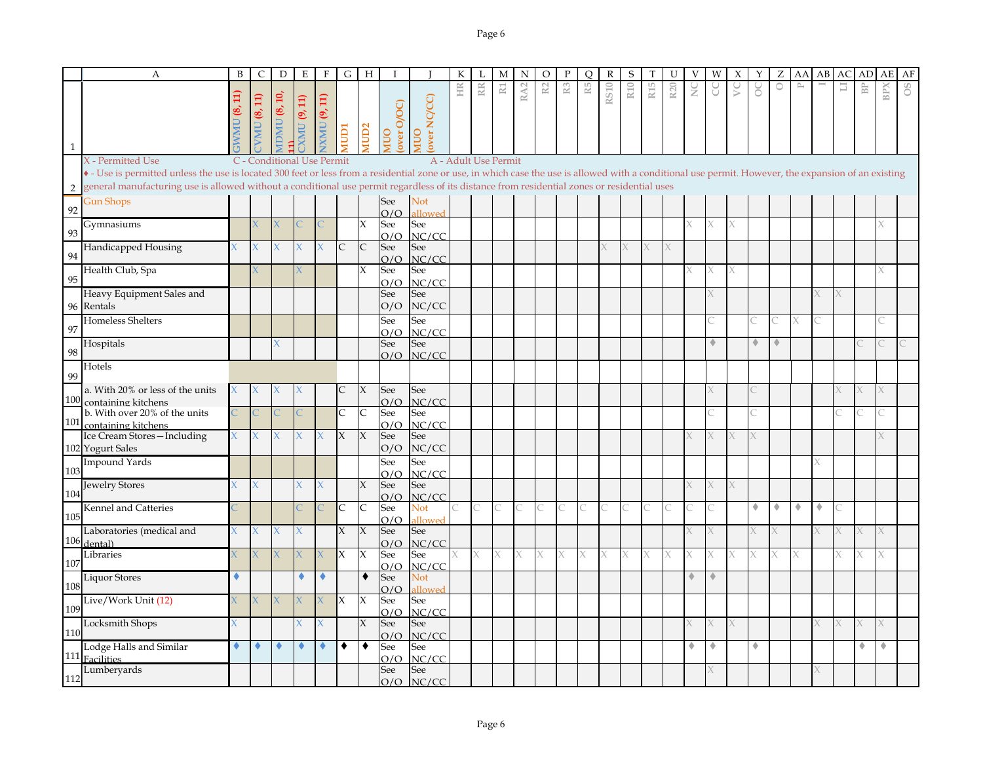|              | $\overline{A}$                                                                                                                                                                                                                                                                                                                                                            | B            | $\mathsf{C}$         | D                                       | E          | $\mathbf{F}$                | G                  | H                   |                    |                       | К  |                      | M              | N   | $\circ$ |                | O  | $\mathbb{R}$ | S               |                 |                 |               |                      | Х         |             | Z       | AA           | AB | AС | AD                      | AE  | AF |
|--------------|---------------------------------------------------------------------------------------------------------------------------------------------------------------------------------------------------------------------------------------------------------------------------------------------------------------------------------------------------------------------------|--------------|----------------------|-----------------------------------------|------------|-----------------------------|--------------------|---------------------|--------------------|-----------------------|----|----------------------|----------------|-----|---------|----------------|----|--------------|-----------------|-----------------|-----------------|---------------|----------------------|-----------|-------------|---------|--------------|----|----|-------------------------|-----|----|
| $\mathbf{1}$ |                                                                                                                                                                                                                                                                                                                                                                           |              | (8, 11)<br><b>NN</b> | $\overline{10}$<br>IDMU <sub>(8</sub> , | MU (9, 11) | $\Xi$<br>O,<br><b>IXMIU</b> | <b>ICIDI</b>       | <b>MUD2</b>         | over O/OC)<br>OUIN | over NC/CC)<br>OUIN   | HR | RR                   | $\mathbbm{R}1$ | RA2 | R2      | $\mathbb{R}^3$ | R5 | <b>RS10</b>  | R <sub>10</sub> | R <sub>15</sub> | R <sub>20</sub> | $\frac{C}{Z}$ | g                    | $\gtrsim$ | ိ           | $\circ$ | $\mathbb{P}$ |    | 冒  | $\mathbb{B} \mathbb{P}$ | BPX | 8O |
|              | X - Permitted Use<br>• - Use is permitted unless the use is located 300 feet or less from a residential zone or use, in which case the use is allowed with a conditional use permit. However, the expansion of an existing<br>general manufacturing use is allowed without a conditional use permit regardless of its distance from residential zones or residential uses |              |                      | C - Conditional Use Permit              |            |                             |                    |                     |                    |                       |    | A - Adult Use Permit |                |     |         |                |    |              |                 |                 |                 |               |                      |           |             |         |              |    |    |                         |     |    |
| 2            | <b>Gun Shops</b>                                                                                                                                                                                                                                                                                                                                                          |              |                      |                                         |            |                             |                    |                     | See                | Not                   |    |                      |                |     |         |                |    |              |                 |                 |                 |               |                      |           |             |         |              |    |    |                         |     |    |
| 92           |                                                                                                                                                                                                                                                                                                                                                                           |              |                      |                                         |            |                             |                    |                     | O/O                | bewoll                |    |                      |                |     |         |                |    |              |                 |                 |                 |               |                      |           |             |         |              |    |    |                         |     |    |
| 93           | Gymnasiums                                                                                                                                                                                                                                                                                                                                                                |              |                      |                                         |            |                             |                    | X                   | See<br>O/O         | See<br>NC/CC          |    |                      |                |     |         |                |    |              |                 |                 |                 |               |                      |           |             |         |              |    |    |                         |     |    |
| 94           | Handicapped Housing                                                                                                                                                                                                                                                                                                                                                       |              |                      |                                         |            |                             | $\mathsf{C}$       | $\mathsf{C}$        | See<br>O/O         | See<br>NC/CC          |    |                      |                |     |         |                |    |              | X               | X               |                 |               |                      |           |             |         |              |    |    |                         |     |    |
| 95           | Health Club, Spa                                                                                                                                                                                                                                                                                                                                                          |              |                      |                                         |            |                             |                    | X                   | See<br>O/O         | See<br>NC/CC          |    |                      |                |     |         |                |    |              |                 |                 |                 |               |                      |           |             |         |              |    |    |                         |     |    |
|              | Heavy Equipment Sales and<br>96 Rentals                                                                                                                                                                                                                                                                                                                                   |              |                      |                                         |            |                             |                    |                     | See<br>O/O         | See<br>NC/CC          |    |                      |                |     |         |                |    |              |                 |                 |                 |               |                      |           |             |         |              |    |    |                         |     |    |
| 97           | Homeless Shelters                                                                                                                                                                                                                                                                                                                                                         |              |                      |                                         |            |                             |                    |                     | See<br>O/O         | See<br>NC/CC          |    |                      |                |     |         |                |    |              |                 |                 |                 |               |                      |           |             |         | X            |    |    |                         |     |    |
| 98           | Hospitals                                                                                                                                                                                                                                                                                                                                                                 |              |                      |                                         |            |                             |                    |                     | See<br>O/O         | See<br>NC/CC          |    |                      |                |     |         |                |    |              |                 |                 |                 |               | $\triangle$          |           | $\triangle$ | ۰       |              |    |    |                         |     |    |
| 99           | Hotels                                                                                                                                                                                                                                                                                                                                                                    |              |                      |                                         |            |                             |                    |                     |                    |                       |    |                      |                |     |         |                |    |              |                 |                 |                 |               |                      |           |             |         |              |    |    |                         |     |    |
| 100          | a. With 20% or less of the units<br>containing kitchens                                                                                                                                                                                                                                                                                                                   |              |                      |                                         |            |                             | C                  | X                   | See<br>O/O         | See<br>NC/CC          |    |                      |                |     |         |                |    |              |                 |                 |                 |               |                      |           |             |         |              |    |    |                         |     |    |
| 101          | b. With over 20% of the units<br>containing kitchens                                                                                                                                                                                                                                                                                                                      |              |                      |                                         |            |                             | $\mathsf C$        | $\mathsf{C}$        | See<br>O/O         | See<br>NC/CC          |    |                      |                |     |         |                |    |              |                 |                 |                 |               |                      |           |             |         |              |    |    |                         |     |    |
|              | Ice Cream Stores-Including<br>102 Yogurt Sales                                                                                                                                                                                                                                                                                                                            | $\mathsf{X}$ | $\chi$               | $\chi$                                  | X          | X                           | $\mathsf{X}% _{0}$ | $\boldsymbol{\chi}$ | See<br>O/O         | See<br>NC/CC          |    |                      |                |     |         |                |    |              |                 |                 |                 |               |                      |           | X           |         |              |    |    |                         |     |    |
| 103          | <b>Impound Yards</b>                                                                                                                                                                                                                                                                                                                                                      |              |                      |                                         |            |                             |                    |                     | See<br>O/O         | See<br>NC/CC          |    |                      |                |     |         |                |    |              |                 |                 |                 |               |                      |           |             |         |              |    |    |                         |     |    |
| 104          | <b>Jewelry Stores</b>                                                                                                                                                                                                                                                                                                                                                     |              |                      |                                         |            | X                           |                    | X                   | See<br>O/O         | See<br>NC/CC          |    |                      |                |     |         |                |    |              |                 |                 |                 |               |                      | X         |             |         |              |    |    |                         |     |    |
| 105          | Kennel and Catteries                                                                                                                                                                                                                                                                                                                                                      |              |                      |                                         |            |                             | C                  | $\mathsf{C}$        | See<br>O/O         | Not<br>allowed        |    | C                    |                |     |         |                |    |              |                 |                 |                 |               |                      |           | ۰           | ۰       | ۰            | ۰  |    |                         |     |    |
|              | Laboratories (medical and<br>106 dental)                                                                                                                                                                                                                                                                                                                                  |              | X.                   |                                         |            |                             | $\chi$             | $\chi$              | See<br>O/O         | See<br>NC/CC          |    |                      |                |     |         |                |    |              |                 |                 |                 |               |                      |           |             |         |              |    |    |                         |     |    |
| 107          | Libraries                                                                                                                                                                                                                                                                                                                                                                 |              |                      |                                         |            |                             | X                  | X                   | See<br>O/O         | See<br>NC/CC          |    | X                    |                |     |         | X              | X  |              |                 |                 |                 |               |                      |           |             |         |              |    |    |                         |     |    |
| 108          | <b>Liquor Stores</b>                                                                                                                                                                                                                                                                                                                                                      |              |                      |                                         | ۰          |                             |                    | $\bullet$           | See<br>O/O         | Not<br><b>illowed</b> |    |                      |                |     |         |                |    |              |                 |                 |                 | ۰             | $\ddot{\phantom{1}}$ |           |             |         |              |    |    |                         |     |    |
| 109          | Live/Work Unit (12)                                                                                                                                                                                                                                                                                                                                                       |              |                      |                                         |            |                             | $\mathsf{X}% _{0}$ | $\boldsymbol{\chi}$ | See<br>O/O         | See<br>NC/CC          |    |                      |                |     |         |                |    |              |                 |                 |                 |               |                      |           |             |         |              |    |    |                         |     |    |
| 110          | Locksmith Shops                                                                                                                                                                                                                                                                                                                                                           |              |                      |                                         |            | x                           |                    | $\chi$              | See<br>O/O         | See<br>NC/CC          |    |                      |                |     |         |                |    |              |                 |                 |                 |               |                      |           |             |         |              |    |    |                         |     |    |
| 111          | Lodge Halls and Similar<br>Facilities                                                                                                                                                                                                                                                                                                                                     |              | ٠                    | ٠                                       | ◆          | ۰                           | ٠                  | $\bullet$           | See<br>O/O         | See<br>NC/CC          |    |                      |                |     |         |                |    |              |                 |                 |                 | ۰             | ۰                    |           | ۰           |         |              |    |    | ۰                       | ۰   |    |
| 112          | Lumberyards                                                                                                                                                                                                                                                                                                                                                               |              |                      |                                         |            |                             |                    |                     | See<br>O/O         | See<br>NC/CC          |    |                      |                |     |         |                |    |              |                 |                 |                 |               |                      |           |             |         |              |    |    |                         |     |    |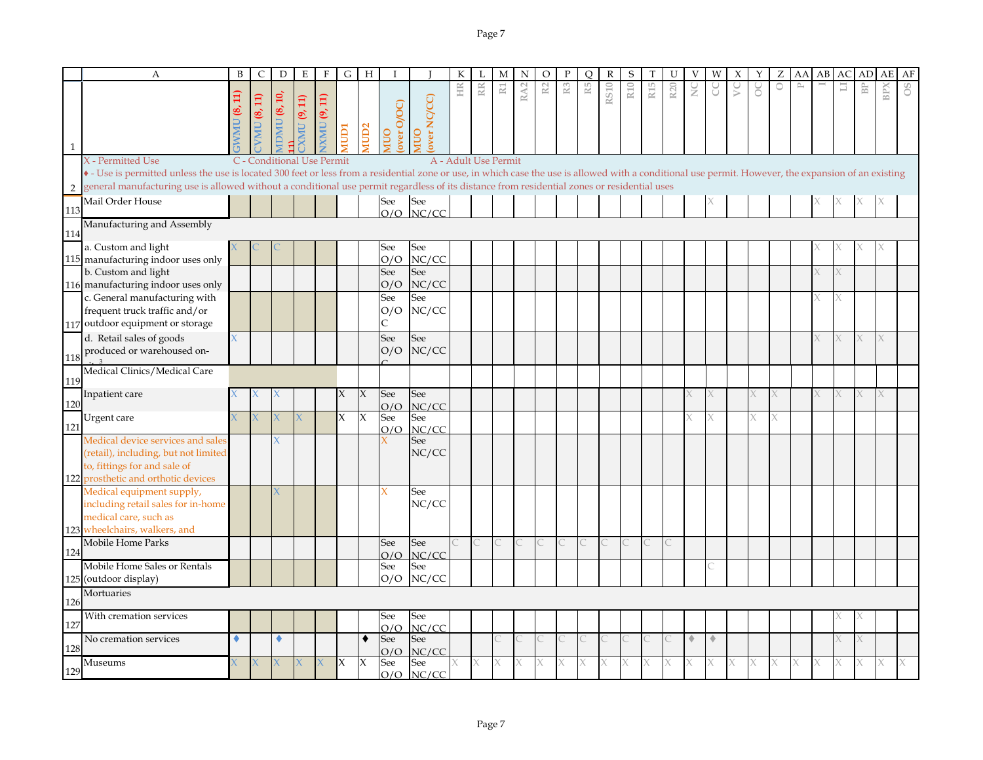|              | A                                                                                                                                                                                                                                                                                                                                                    | B           | C                  | D                          | Ε           | F           | G            | Н                   |                   |                    |    |                         | M              | N               | O  |                | О  | R           | S   |                 | U               |               |             |   |   | Z       | AA | AВ | AC | AD | AЕ  | AF |
|--------------|------------------------------------------------------------------------------------------------------------------------------------------------------------------------------------------------------------------------------------------------------------------------------------------------------------------------------------------------------|-------------|--------------------|----------------------------|-------------|-------------|--------------|---------------------|-------------------|--------------------|----|-------------------------|----------------|-----------------|----|----------------|----|-------------|-----|-----------------|-----------------|---------------|-------------|---|---|---------|----|----|----|----|-----|----|
| $\mathbf{1}$ |                                                                                                                                                                                                                                                                                                                                                      | $\Xi$<br>S. | <b>VMU (8, 11)</b> | IDMU $(8, 10,$             | XMU (9, 11) | XMU (9, 11) | rany         | MUD <sub>2</sub>    | over O/OC)<br>OUN | over NC/CC)<br>OUI | HR | $\mathbb{R} \mathbb{R}$ | $\mathbbm{R}1$ | RA <sub>2</sub> | R2 | $\mathbb{R}^3$ | R5 | <b>RS10</b> | R10 | R <sub>15</sub> | R <sub>20</sub> | $\frac{C}{Z}$ | g           | S | ိ | $\circ$ |    |    | 급  | BP | BPX |    |
|              | X - Permitted Use                                                                                                                                                                                                                                                                                                                                    |             |                    | C - Conditional Use Permit |             |             |              |                     |                   |                    |    | A - Adult Use Permit    |                |                 |    |                |    |             |     |                 |                 |               |             |   |   |         |    |    |    |    |     |    |
| 2            | • - Use is permitted unless the use is located 300 feet or less from a residential zone or use, in which case the use is allowed with a conditional use permit. However, the expansion of an existing<br>general manufacturing use is allowed without a conditional use permit regardless of its distance from residential zones or residential uses |             |                    |                            |             |             |              |                     |                   |                    |    |                         |                |                 |    |                |    |             |     |                 |                 |               |             |   |   |         |    |    |    |    |     |    |
|              | Mail Order House                                                                                                                                                                                                                                                                                                                                     |             |                    |                            |             |             |              |                     | See               | See                |    |                         |                |                 |    |                |    |             |     |                 |                 |               |             |   |   |         |    |    |    |    |     |    |
| 113          |                                                                                                                                                                                                                                                                                                                                                      |             |                    |                            |             |             |              |                     |                   | $O/O$ NC/CC        |    |                         |                |                 |    |                |    |             |     |                 |                 |               |             |   |   |         |    |    |    |    |     |    |
| 114          | Manufacturing and Assembly                                                                                                                                                                                                                                                                                                                           |             |                    |                            |             |             |              |                     |                   |                    |    |                         |                |                 |    |                |    |             |     |                 |                 |               |             |   |   |         |    |    |    |    |     |    |
|              | a. Custom and light                                                                                                                                                                                                                                                                                                                                  |             |                    |                            |             |             |              |                     | See               | See                |    |                         |                |                 |    |                |    |             |     |                 |                 |               |             |   |   |         |    |    |    |    |     |    |
|              | 115 manufacturing indoor uses only                                                                                                                                                                                                                                                                                                                   |             |                    |                            |             |             |              |                     | O/O               | NC/CC              |    |                         |                |                 |    |                |    |             |     |                 |                 |               |             |   |   |         |    |    |    |    |     |    |
|              | b. Custom and light                                                                                                                                                                                                                                                                                                                                  |             |                    |                            |             |             |              |                     | See               | See                |    |                         |                |                 |    |                |    |             |     |                 |                 |               |             |   |   |         |    |    |    |    |     |    |
|              | 116 manufacturing indoor uses only<br>c. General manufacturing with                                                                                                                                                                                                                                                                                  |             |                    |                            |             |             |              |                     | O/O<br>See        | NC/CC<br>See       |    |                         |                |                 |    |                |    |             |     |                 |                 |               |             |   |   |         |    |    |    |    |     |    |
|              | frequent truck traffic and/or                                                                                                                                                                                                                                                                                                                        |             |                    |                            |             |             |              |                     | O/O               | NC/CC              |    |                         |                |                 |    |                |    |             |     |                 |                 |               |             |   |   |         |    |    |    |    |     |    |
|              | 117 outdoor equipment or storage                                                                                                                                                                                                                                                                                                                     |             |                    |                            |             |             |              |                     | C                 |                    |    |                         |                |                 |    |                |    |             |     |                 |                 |               |             |   |   |         |    |    |    |    |     |    |
|              | d. Retail sales of goods                                                                                                                                                                                                                                                                                                                             |             |                    |                            |             |             |              |                     | See               | See                |    |                         |                |                 |    |                |    |             |     |                 |                 |               |             |   |   |         |    |    |    | X  |     |    |
|              | produced or warehoused on-                                                                                                                                                                                                                                                                                                                           |             |                    |                            |             |             |              |                     | O/O               | NC/CC              |    |                         |                |                 |    |                |    |             |     |                 |                 |               |             |   |   |         |    |    |    |    |     |    |
| 118          | Medical Clinics/Medical Care                                                                                                                                                                                                                                                                                                                         |             |                    |                            |             |             |              |                     |                   |                    |    |                         |                |                 |    |                |    |             |     |                 |                 |               |             |   |   |         |    |    |    |    |     |    |
| 119          |                                                                                                                                                                                                                                                                                                                                                      |             |                    |                            |             |             |              |                     |                   |                    |    |                         |                |                 |    |                |    |             |     |                 |                 |               |             |   |   |         |    |    |    |    |     |    |
| 120          | Inpatient care                                                                                                                                                                                                                                                                                                                                       |             |                    |                            |             |             | X            | X                   | See               | See                |    |                         |                |                 |    |                |    |             |     |                 |                 |               |             |   |   |         |    |    |    |    |     |    |
|              | Urgent care                                                                                                                                                                                                                                                                                                                                          |             |                    |                            |             |             | $\mathsf{X}$ | $\boldsymbol{\chi}$ | O/O<br>See        | NC/CC<br>See       |    |                         |                |                 |    |                |    |             |     |                 |                 |               | X           |   | X | X       |    |    |    |    |     |    |
| 121          |                                                                                                                                                                                                                                                                                                                                                      |             |                    |                            |             |             |              |                     | O/O               | NC/CC              |    |                         |                |                 |    |                |    |             |     |                 |                 |               |             |   |   |         |    |    |    |    |     |    |
|              | Medical device services and sale<br>(retail), including, but not limited<br>to, fittings for and sale of<br>122 prosthetic and orthotic devices                                                                                                                                                                                                      |             |                    |                            |             |             |              |                     |                   | See<br>NC/CC       |    |                         |                |                 |    |                |    |             |     |                 |                 |               |             |   |   |         |    |    |    |    |     |    |
|              | Medical equipment supply,<br>including retail sales for in-home<br>medical care, such as<br>123 wheelchairs, walkers, and                                                                                                                                                                                                                            |             |                    |                            |             |             |              |                     | X                 | See<br>NC/CC       |    |                         |                |                 |    |                |    |             |     |                 |                 |               |             |   |   |         |    |    |    |    |     |    |
|              | Mobile Home Parks                                                                                                                                                                                                                                                                                                                                    |             |                    |                            |             |             |              |                     | See               | See                |    |                         |                |                 |    |                |    |             |     |                 |                 |               |             |   |   |         |    |    |    |    |     |    |
| 124          |                                                                                                                                                                                                                                                                                                                                                      |             |                    |                            |             |             |              |                     | O/O               | NC/CC              |    |                         |                |                 |    |                |    |             |     |                 |                 |               |             |   |   |         |    |    |    |    |     |    |
|              | Mobile Home Sales or Rentals                                                                                                                                                                                                                                                                                                                         |             |                    |                            |             |             |              |                     | See               | See                |    |                         |                |                 |    |                |    |             |     |                 |                 |               |             |   |   |         |    |    |    |    |     |    |
|              | 125 (outdoor display)                                                                                                                                                                                                                                                                                                                                |             |                    |                            |             |             |              |                     | O/O               | NC/CC              |    |                         |                |                 |    |                |    |             |     |                 |                 |               |             |   |   |         |    |    |    |    |     |    |
| 126          | Mortuaries                                                                                                                                                                                                                                                                                                                                           |             |                    |                            |             |             |              |                     |                   |                    |    |                         |                |                 |    |                |    |             |     |                 |                 |               |             |   |   |         |    |    |    |    |     |    |
| 127          | With cremation services                                                                                                                                                                                                                                                                                                                              |             |                    |                            |             |             |              |                     | See<br>O/O        | See<br>NC/CC       |    |                         |                |                 |    |                |    |             |     |                 |                 |               |             |   |   |         |    |    |    |    |     |    |
| 128          | No cremation services                                                                                                                                                                                                                                                                                                                                |             |                    | ۰                          |             |             |              |                     | See<br>O/O        | See<br>NC/CC       |    |                         |                |                 |    |                |    |             |     |                 |                 | $\triangle$   | $\triangle$ |   |   |         |    |    |    | X  |     |    |
| 129          | Museums                                                                                                                                                                                                                                                                                                                                              |             | X.                 | X.                         |             |             | X            | X                   | See<br>O/O        | See<br>NC/CC       |    | Х                       | X              | X.              |    | Х              |    |             |     | Х.              |                 |               | X           |   | X |         |    |    |    | X  |     |    |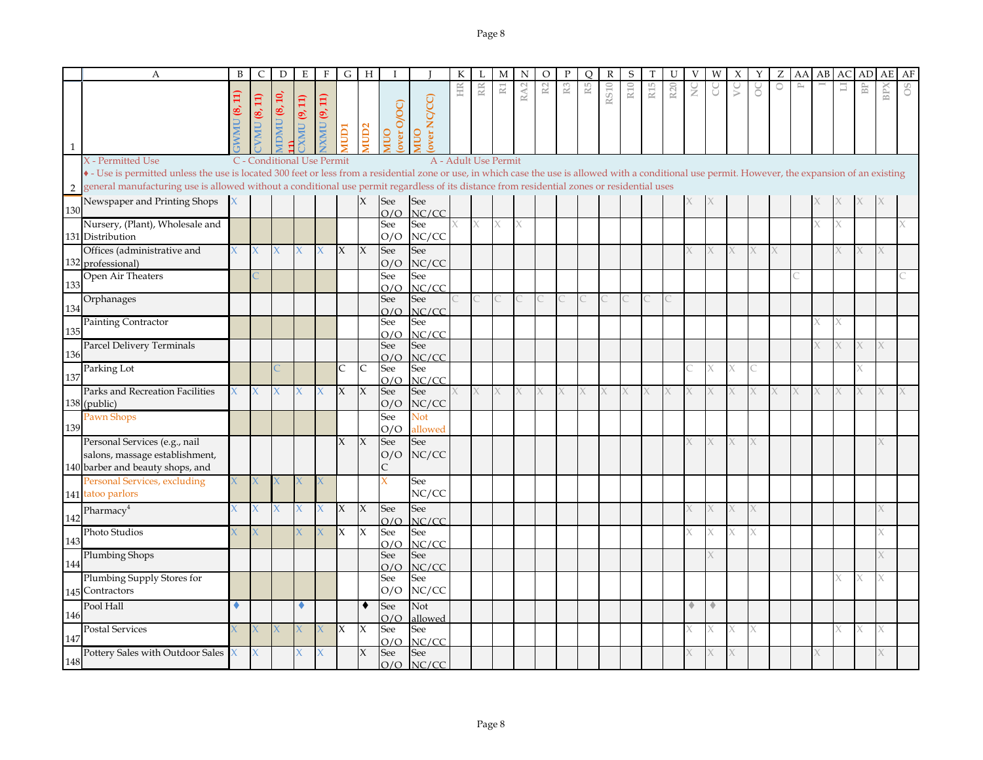|              | $\mathbf{A}$                                                                                                                                                                                                                                                                                                                                         | B            | C                  | D                          | E              | F                  |                     | $G$   H             |                          |                     | К  | L                    | M              | N               | O  | P              | O  | R           | S   |     | U               | V             | W      | X      | Y        | Ζ |           | AA AB | AC | AD <sub>1</sub> | AE  | AF |
|--------------|------------------------------------------------------------------------------------------------------------------------------------------------------------------------------------------------------------------------------------------------------------------------------------------------------------------------------------------------------|--------------|--------------------|----------------------------|----------------|--------------------|---------------------|---------------------|--------------------------|---------------------|----|----------------------|----------------|-----------------|----|----------------|----|-------------|-----|-----|-----------------|---------------|--------|--------|----------|---|-----------|-------|----|-----------------|-----|----|
|              |                                                                                                                                                                                                                                                                                                                                                      | $\Xi$<br>ತ್ತ | <b>VMU</b> (8, 11) | $\text{IDMU}$ (8, 10,      | XMU (9, 11)    | <b>XMU (9, 11)</b> | <b>ICIDI</b>        | MUD <sub>2</sub>    | over O/OC<br><b>NIUO</b> | over NC/CC)<br>OUIN | HR | RR                   | $\mathbbm{R}1$ | RA <sub>2</sub> | R2 | R <sub>3</sub> | R5 | <b>RS10</b> | R10 | R15 | R <sub>20</sub> | $\frac{C}{Z}$ | U      | $\geq$ | ŏ        | O | $\approx$ |       | Ξ  | B <sub>P</sub>  | BP) | 8O |
|              |                                                                                                                                                                                                                                                                                                                                                      |              |                    |                            |                |                    |                     |                     |                          |                     |    |                      |                |                 |    |                |    |             |     |     |                 |               |        |        |          |   |           |       |    |                 |     |    |
|              | X - Permitted Use                                                                                                                                                                                                                                                                                                                                    |              |                    | C - Conditional Use Permit |                |                    |                     |                     |                          |                     |    | A - Adult Use Permit |                |                 |    |                |    |             |     |     |                 |               |        |        |          |   |           |       |    |                 |     |    |
|              | • - Use is permitted unless the use is located 300 feet or less from a residential zone or use, in which case the use is allowed with a conditional use permit. However, the expansion of an existing<br>general manufacturing use is allowed without a conditional use permit regardless of its distance from residential zones or residential uses |              |                    |                            |                |                    |                     |                     |                          |                     |    |                      |                |                 |    |                |    |             |     |     |                 |               |        |        |          |   |           |       |    |                 |     |    |
|              | Newspaper and Printing Shops                                                                                                                                                                                                                                                                                                                         |              |                    |                            |                |                    |                     |                     | See                      | See                 |    |                      |                |                 |    |                |    |             |     |     |                 |               |        |        |          |   |           |       |    |                 |     |    |
| 130          |                                                                                                                                                                                                                                                                                                                                                      |              |                    |                            |                |                    |                     |                     | O/O                      | NC/CC               |    |                      |                |                 |    |                |    |             |     |     |                 |               |        |        |          |   |           |       |    |                 |     |    |
|              | Nursery, (Plant), Wholesale and<br>131 Distribution                                                                                                                                                                                                                                                                                                  |              |                    |                            |                |                    |                     |                     | See<br>O/O               | See<br>NC/CC        |    | $\chi$               | X              | X               |    |                |    |             |     |     |                 |               |        |        |          |   |           |       |    |                 |     |    |
|              | Offices (administrative and<br>132 professional)                                                                                                                                                                                                                                                                                                     |              | X                  | X.                         | X              |                    | $\chi$              | $\chi$              | See<br>O/O               | See<br>NC/CC        |    |                      |                |                 |    |                |    |             |     |     |                 |               |        | X.     |          |   |           |       |    |                 |     |    |
| 133          | Open Air Theaters                                                                                                                                                                                                                                                                                                                                    |              |                    |                            |                |                    |                     |                     | See<br>O/O               | See<br>NC/CC        |    |                      |                |                 |    |                |    |             |     |     |                 |               |        |        |          |   |           |       |    |                 |     |    |
| 134          | Orphanages                                                                                                                                                                                                                                                                                                                                           |              |                    |                            |                |                    |                     |                     | See<br>O/O               | See<br>NC/CC        |    |                      |                |                 |    |                |    |             |     |     |                 |               |        |        |          |   |           |       |    |                 |     |    |
| 135          | Painting Contractor                                                                                                                                                                                                                                                                                                                                  |              |                    |                            |                |                    |                     |                     | See<br>O/O               | See<br>NC/CC        |    |                      |                |                 |    |                |    |             |     |     |                 |               |        |        |          |   |           |       |    |                 |     |    |
|              | Parcel Delivery Terminals                                                                                                                                                                                                                                                                                                                            |              |                    |                            |                |                    |                     |                     | See                      | See                 |    |                      |                |                 |    |                |    |             |     |     |                 |               |        |        |          |   |           |       |    | X               | X   |    |
| 136          |                                                                                                                                                                                                                                                                                                                                                      |              |                    |                            |                |                    |                     | $\mathsf{C}$        | O/O                      | NC/CC               |    |                      |                |                 |    |                |    |             |     |     |                 |               | $\chi$ | X      |          |   |           |       |    |                 |     |    |
| 137          | Parking Lot                                                                                                                                                                                                                                                                                                                                          |              |                    |                            |                |                    | $\mathsf{C}$        |                     | See<br>O/O               | See<br>NC/CC        |    |                      |                |                 |    |                |    |             |     |     |                 |               |        |        |          |   |           |       |    |                 |     |    |
|              | Parks and Recreation Facilities                                                                                                                                                                                                                                                                                                                      |              | X                  | X.                         |                |                    | $\boldsymbol{\chi}$ | X                   | See                      | See                 | X. | X                    |                | K.              |    |                |    |             |     | X.  |                 |               |        |        |          |   |           |       |    |                 |     |    |
|              | 138 (public)                                                                                                                                                                                                                                                                                                                                         |              |                    |                            |                |                    |                     |                     | O/O                      | NC/CC               |    |                      |                |                 |    |                |    |             |     |     |                 |               |        |        |          |   |           |       |    |                 |     |    |
| 139          | Pawn Shops                                                                                                                                                                                                                                                                                                                                           |              |                    |                            |                |                    |                     |                     | See<br>O/O               | Not<br>allowed      |    |                      |                |                 |    |                |    |             |     |     |                 |               |        |        |          |   |           |       |    |                 |     |    |
|              | Personal Services (e.g., nail                                                                                                                                                                                                                                                                                                                        |              |                    |                            |                |                    | X                   | $\boldsymbol{\chi}$ | See                      | See                 |    |                      |                |                 |    |                |    |             |     |     |                 |               |        | X.     |          |   |           |       |    |                 |     |    |
|              | salons, massage establishment,<br>140 barber and beauty shops, and                                                                                                                                                                                                                                                                                   |              |                    |                            |                |                    |                     |                     | O/O                      | NC/CC               |    |                      |                |                 |    |                |    |             |     |     |                 |               |        |        |          |   |           |       |    |                 |     |    |
|              | Personal Services, excluding                                                                                                                                                                                                                                                                                                                         |              |                    |                            |                |                    |                     |                     |                          | See                 |    |                      |                |                 |    |                |    |             |     |     |                 |               |        |        |          |   |           |       |    |                 |     |    |
|              | 141 tatoo parlors                                                                                                                                                                                                                                                                                                                                    |              |                    |                            |                |                    |                     |                     |                          | NC/CC               |    |                      |                |                 |    |                |    |             |     |     |                 |               |        |        |          |   |           |       |    |                 |     |    |
| 142          | Pharmacy <sup>4</sup>                                                                                                                                                                                                                                                                                                                                |              |                    | X.                         |                |                    | $\chi$              | $\chi$              | See<br>O/O               | See<br>NC/CC        |    |                      |                |                 |    |                |    |             |     |     |                 |               |        | K      |          |   |           |       |    |                 |     |    |
| $14^{\circ}$ | Photo Studios                                                                                                                                                                                                                                                                                                                                        |              |                    |                            |                |                    | $\overline{\chi}$   | X                   | See<br>O/O               | See<br>NC/CC        |    |                      |                |                 |    |                |    |             |     |     |                 |               | $\chi$ | X      | $\chi$   |   |           |       |    |                 |     |    |
| 144          | <b>Plumbing Shops</b>                                                                                                                                                                                                                                                                                                                                |              |                    |                            |                |                    |                     |                     | See<br>O/O               | See<br>NC/CC        |    |                      |                |                 |    |                |    |             |     |     |                 |               |        |        |          |   |           |       |    |                 |     |    |
|              | Plumbing Supply Stores for<br>145 Contractors                                                                                                                                                                                                                                                                                                        |              |                    |                            |                |                    |                     |                     | See<br>O/O               | See<br>NC/CC        |    |                      |                |                 |    |                |    |             |     |     |                 |               |        |        |          |   |           |       |    |                 |     |    |
|              | Pool Hall                                                                                                                                                                                                                                                                                                                                            |              |                    |                            |                |                    |                     | ٠                   | See                      | Not                 |    |                      |                |                 |    |                |    |             |     |     |                 |               | ٠      |        |          |   |           |       |    |                 |     |    |
| 146          | <b>Postal Services</b>                                                                                                                                                                                                                                                                                                                               |              |                    | $\mathsf{X}^+$             | $\overline{X}$ |                    | X                   | X                   | O/O<br>See               | allowed<br>See      |    |                      |                |                 |    |                |    |             |     |     |                 |               |        | X.     | $\times$ |   |           |       |    | X               | X   |    |
| 147          |                                                                                                                                                                                                                                                                                                                                                      |              |                    |                            |                |                    |                     |                     | O/O                      | NC/CC               |    |                      |                |                 |    |                |    |             |     |     |                 |               |        |        |          |   |           |       |    |                 |     |    |
| 148          | Pottery Sales with Outdoor Sales                                                                                                                                                                                                                                                                                                                     |              | X                  |                            | X.             | Х                  |                     | X                   | See                      | See<br>$O/O$ NC/CC  |    |                      |                |                 |    |                |    |             |     |     |                 |               |        |        |          |   |           |       |    |                 |     |    |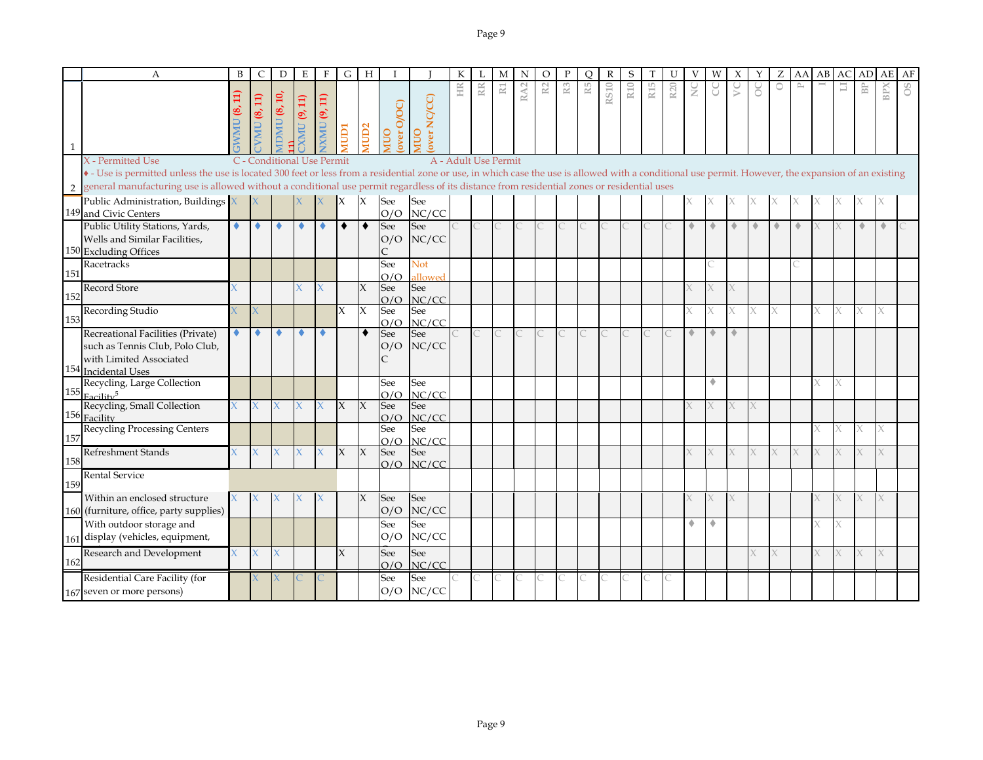|     | A                                                                                                                                                                                                                          | B                         | C                                     | D                   | E            | F                   | G            | H                   |                   |                       |                      |                 | M              | N   | O  |                | Ω  |             | S   |                 |                 |               | W           |           |   |                      | AA                        | AB | AC | AD            | AE                      | AF |
|-----|----------------------------------------------------------------------------------------------------------------------------------------------------------------------------------------------------------------------------|---------------------------|---------------------------------------|---------------------|--------------|---------------------|--------------|---------------------|-------------------|-----------------------|----------------------|-----------------|----------------|-----|----|----------------|----|-------------|-----|-----------------|-----------------|---------------|-------------|-----------|---|----------------------|---------------------------|----|----|---------------|-------------------------|----|
|     |                                                                                                                                                                                                                            | $\Xi$<br>œ,<br><b>UMM</b> | VMU (8, 11)                           | <b>IDMU (8, 10,</b> | XMU (9, 11)  | <b>IXMU (9, 11)</b> | NUD1         | MUD <sub>2</sub>    | over O/OC)<br>OUN | over NC/CC)<br>OUIN   | HR                   | RR <sub>I</sub> | $\mathbbm{R}1$ | RA2 | R2 | $\mathbb{R}^3$ | R5 | <b>RS10</b> | R10 | R <sub>15</sub> | R <sub>20</sub> | $\frac{C}{Z}$ | g           | $\gtrsim$ | ŏ | $\circ$              | $\mathbb{\triangleright}$ |    | ∃  | $\mathbb{B}P$ | $\overline{\mathbb{C}}$ | °° |
|     | X - Permitted Use<br>• - Use is permitted unless the use is located 300 feet or less from a residential zone or use, in which case the use is allowed with a conditional use permit. However, the expansion of an existing |                           | C - Conditional Use Permit            |                     |              |                     |              |                     |                   |                       | A - Adult Use Permit |                 |                |     |    |                |    |             |     |                 |                 |               |             |           |   |                      |                           |    |    |               |                         |    |
|     | general manufacturing use is allowed without a conditional use permit regardless of its distance from residential zones or residential uses                                                                                |                           |                                       |                     |              |                     |              |                     |                   |                       |                      |                 |                |     |    |                |    |             |     |                 |                 |               |             |           |   |                      |                           |    |    |               |                         |    |
|     | Public Administration, Buildings $\overline{X}$<br>149 and Civic Centers                                                                                                                                                   |                           |                                       |                     |              |                     | $\mathsf{X}$ | $\mathsf{X}$        | See<br>O/O        | See<br>NC/CC          |                      |                 |                |     |    |                |    |             |     |                 |                 |               |             |           |   |                      |                           |    |    |               |                         |    |
|     | Public Utility Stations, Yards,<br>Wells and Similar Facilities,<br>150 Excluding Offices                                                                                                                                  | ۰                         | ٠                                     | ۰                   | ۰            | ٠                   | $\bullet$    | $\bullet$           | See<br>O/O        | See<br>NC/CC          |                      | C               |                |     |    |                |    |             |     |                 |                 | ۰             | ◈           | ٠         | ۰ | $\ddot{\phantom{1}}$ | ۰                         |    |    | $\triangle$   | ۰                       |    |
| 151 | Racetracks                                                                                                                                                                                                                 |                           |                                       |                     |              |                     |              |                     | See<br>O/O        | <b>Not</b><br>allowed |                      |                 |                |     |    |                |    |             |     |                 |                 |               |             |           |   |                      |                           |    |    |               |                         |    |
| 152 | <b>Record Store</b>                                                                                                                                                                                                        |                           |                                       |                     |              |                     |              | $\chi$              | See<br>O/O        | See<br>NC/CC          |                      |                 |                |     |    |                |    |             |     |                 |                 |               |             |           |   |                      |                           |    |    |               |                         |    |
| 153 | Recording Studio                                                                                                                                                                                                           |                           |                                       |                     |              |                     | $\mathsf{X}$ | $\boldsymbol{\chi}$ | See<br>O/O        | See<br>NC/CC          |                      |                 |                |     |    |                |    |             |     |                 |                 |               | Χ           | X         | X | X                    |                           |    |    | X             | X.                      |    |
| 154 | Recreational Facilities (Private)<br>such as Tennis Club, Polo Club,<br>with Limited Associated<br><b>Incidental Uses</b>                                                                                                  | ۰                         | ۰                                     | ۰                   | ۰            | ٠                   |              | $\bullet$           | See<br>O/O<br>C   | See<br>NC/CC          |                      | $\overline{C}$  | $\overline{C}$ |     |    |                |    |             |     |                 |                 | ۰             | $\triangle$ | ۵         |   |                      |                           |    |    |               |                         |    |
|     | Recycling, Large Collection<br>$155$ Eacility <sup>5</sup>                                                                                                                                                                 |                           |                                       |                     |              |                     |              |                     | See<br>O/O        | See<br>NC/CC          |                      |                 |                |     |    |                |    |             |     |                 |                 |               | ۰           |           |   |                      |                           |    |    |               |                         |    |
| 156 | Recycling, Small Collection<br>Facility                                                                                                                                                                                    | $\chi$                    | $\mathsf{X}^{\scriptscriptstyle\top}$ | $\mathsf{X}$        | $\mathsf{X}$ | $\mathbf{X}$        | $\mathsf{X}$ | $\mathsf{X}$        | See<br>O/O        | See<br>NC/CC          |                      |                 |                |     |    |                |    |             |     |                 |                 |               |             | X         |   |                      |                           |    |    |               |                         |    |
| 157 | <b>Recycling Processing Centers</b>                                                                                                                                                                                        |                           |                                       |                     |              |                     |              |                     | See<br>O/O        | See<br>NC/CC          |                      |                 |                |     |    |                |    |             |     |                 |                 |               |             |           |   |                      |                           |    |    | X             |                         |    |
| 158 | Refreshment Stands                                                                                                                                                                                                         |                           | X.                                    |                     |              | $\chi$              | X            | $\boldsymbol{\chi}$ | See<br>O/O        | See<br>NC/CC          |                      |                 |                |     |    |                |    |             |     |                 |                 |               |             | X         |   |                      |                           |    |    |               |                         |    |
| 159 | <b>Rental Service</b>                                                                                                                                                                                                      |                           |                                       |                     |              |                     |              |                     |                   |                       |                      |                 |                |     |    |                |    |             |     |                 |                 |               |             |           |   |                      |                           |    |    |               |                         |    |
|     | Within an enclosed structure<br>160 (furniture, office, party supplies)                                                                                                                                                    |                           |                                       |                     |              |                     |              | $\chi$              | See<br>O/O        | See<br>NC/CC          |                      |                 |                |     |    |                |    |             |     |                 |                 |               |             |           |   |                      |                           |    |    | X             |                         |    |
|     | With outdoor storage and<br>161 display (vehicles, equipment,                                                                                                                                                              |                           |                                       |                     |              |                     |              |                     | See<br>O/O        | See<br>NC/CC          |                      |                 |                |     |    |                |    |             |     |                 |                 |               | ۰           |           |   |                      |                           |    |    |               |                         |    |
| 162 | Research and Development                                                                                                                                                                                                   | $\chi$                    | X.                                    |                     |              |                     | X            |                     | See<br>O/O        | See<br>NC/CC          |                      |                 |                |     |    |                |    |             |     |                 |                 |               |             |           |   |                      |                           |    |    |               | X                       |    |
|     | Residential Care Facility (for<br>167 seven or more persons)                                                                                                                                                               |                           |                                       |                     |              |                     |              |                     | See<br>O/O        | See<br>NC/CC          |                      |                 |                |     |    |                |    |             |     |                 |                 |               |             |           |   |                      |                           |    |    |               |                         |    |

C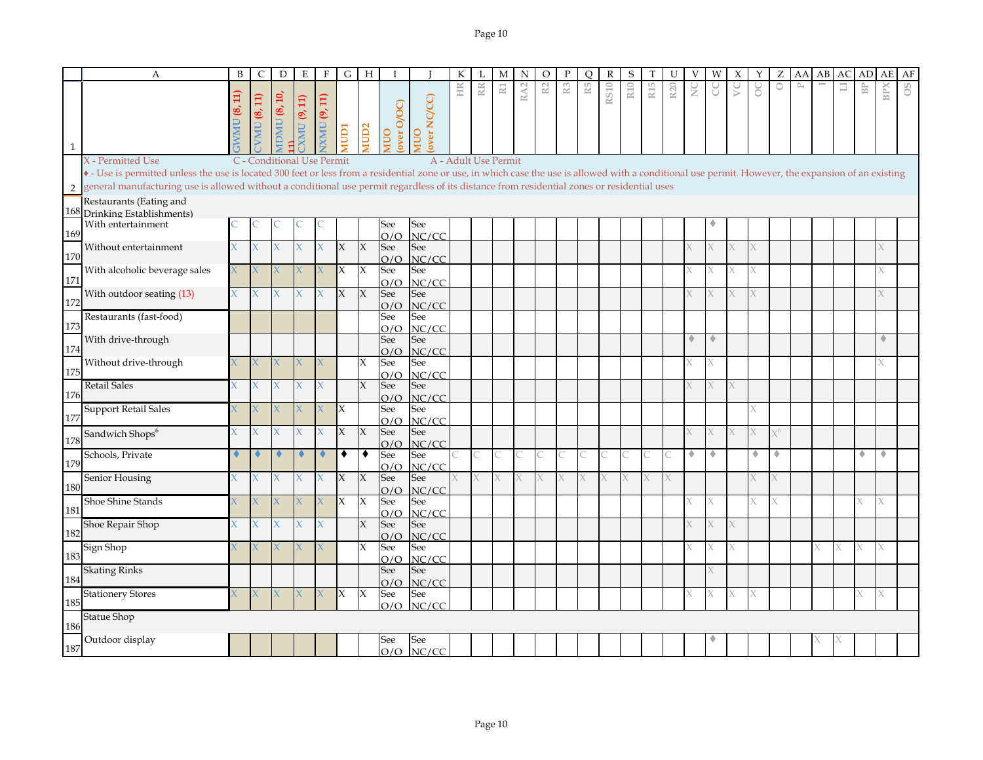|              | $\mathbf{A}$                                                                                                                                                                                                                                                                                                                                                                                           | B           | $\mathsf{C}$       | D                                  | E           | $\mathbf{F}$           |              | $G$ H               | $\mathbf{I}$       |                       | К  |                      | M              | N               | $\circ$        | P              | $\Omega$ | $\mathbb{R}$ | S   |                 | U               | V             | W | $\chi$    | Y      | Z | AA               | AB | AC | AD | AE         | AF |
|--------------|--------------------------------------------------------------------------------------------------------------------------------------------------------------------------------------------------------------------------------------------------------------------------------------------------------------------------------------------------------------------------------------------------------|-------------|--------------------|------------------------------------|-------------|------------------------|--------------|---------------------|--------------------|-----------------------|----|----------------------|----------------|-----------------|----------------|----------------|----------|--------------|-----|-----------------|-----------------|---------------|---|-----------|--------|---|------------------|----|----|----|------------|----|
| $\mathbf{1}$ |                                                                                                                                                                                                                                                                                                                                                                                                        | $\Xi$<br>S, | <b>VMU (8, 11)</b> | $\binom{4}{10}$ MU $\binom{8}{10}$ | XMU (9, 11) | (9, 11)<br><b>UMNI</b> | <b>NODI</b>  | MUD <sub>2</sub>    | over O/OC)<br>OUIN | over NC/CC)<br>OUIN   | HR | RR.                  | $\mathbbm{R}1$ | RA <sub>2</sub> | R <sub>2</sub> | $\mathbb{R}^3$ | R5       | <b>RS10</b>  | R10 | R <sub>15</sub> | R <sub>20</sub> | $\frac{C}{Z}$ | g | $\gtrsim$ | ŏ      | n | $\triangleright$ |    | E  | BP | <b>BPX</b> | OS |
|              | X - Permitted Use<br>• - Use is permitted unless the use is located 300 feet or less from a residential zone or use, in which case the use is allowed with a conditional use permit. However, the expansion of an existing<br>2 general manufacturing use is allowed without a conditional use permit regardless of its distance from residential zones or residential uses<br>Restaurants (Eating and |             |                    | C - Conditional Use Permit         |             |                        |              |                     |                    |                       |    | A - Adult Use Permit |                |                 |                |                |          |              |     |                 |                 |               |   |           |        |   |                  |    |    |    |            |    |
| 169          | 168 Drinking Establishments)<br>With entertainment                                                                                                                                                                                                                                                                                                                                                     |             |                    |                                    |             |                        |              |                     | See<br>O/O         | See<br>NC/CC          |    |                      |                |                 |                |                |          |              |     |                 |                 |               |   |           |        |   |                  |    |    |    |            |    |
| 170          | Without entertainment                                                                                                                                                                                                                                                                                                                                                                                  |             | X.                 |                                    |             |                        | $\mathsf{x}$ | $\overline{X}$      | See<br>O/O         | See<br>NC/CC          |    |                      |                |                 |                |                |          |              |     |                 |                 |               |   |           |        |   |                  |    |    |    |            |    |
| 171          | With alcoholic beverage sales                                                                                                                                                                                                                                                                                                                                                                          |             | X                  |                                    |             | X                      | $\mathsf{X}$ | $\overline{X}$      | See<br>O/O         | See<br>NC/CC          |    |                      |                |                 |                |                |          |              |     |                 |                 |               |   |           | X      |   |                  |    |    |    | X          |    |
| 172          | With outdoor seating (13)<br>Restaurants (fast-food)                                                                                                                                                                                                                                                                                                                                                   | X.          | X                  |                                    |             |                        | X            | $\overline{X}$      | See<br>O/O<br>See  | See<br>NC/CC<br>See   |    |                      |                |                 |                |                |          |              |     |                 |                 |               |   |           |        |   |                  |    |    |    |            |    |
| 173          | With drive-through                                                                                                                                                                                                                                                                                                                                                                                     |             |                    |                                    |             |                        |              |                     | O/O<br>See         | NC/CC<br>See          |    |                      |                |                 |                |                |          |              |     |                 |                 | ٠             | ۰ |           |        |   |                  |    |    |    | ۵          |    |
| 174<br>175   | Without drive-through                                                                                                                                                                                                                                                                                                                                                                                  |             | X                  |                                    |             | X                      |              | X                   | O/O<br>See<br>O/O  | NC/CC<br>See<br>NC/CC |    |                      |                |                 |                |                |          |              |     |                 |                 |               |   |           |        |   |                  |    |    |    |            |    |
| 176          | <b>Retail Sales</b>                                                                                                                                                                                                                                                                                                                                                                                    |             | X                  |                                    |             | χ                      |              | $\overline{X}$      | See<br>O/O         | See<br>NC/CC          |    |                      |                |                 |                |                |          |              |     |                 |                 |               |   |           |        |   |                  |    |    |    |            |    |
| 177          | <b>Support Retail Sales</b>                                                                                                                                                                                                                                                                                                                                                                            |             |                    |                                    |             |                        | X            |                     | See<br>O/O         | See<br>NC/CC          |    |                      |                |                 |                |                |          |              |     |                 |                 |               |   |           | X      |   |                  |    |    |    |            |    |
| 178          | Sandwich Shops <sup>6</sup><br>Schools, Private                                                                                                                                                                                                                                                                                                                                                        |             |                    |                                    |             |                        | X<br>٠       | $\overline{X}$<br>٠ | See<br>O/O<br>See  | See<br>NC/CC<br>See   |    | C                    | С              |                 |                |                |          |              |     |                 |                 | ۰             | ۰ |           | ۰      |   |                  |    |    | ۰  | ٠          |    |
| 179          | Senior Housing                                                                                                                                                                                                                                                                                                                                                                                         |             | X                  |                                    |             | X                      | X            | $\overline{X}$      | O/O<br>See         | NC/CC<br>See          | X. | X.                   |                |                 |                |                |          |              |     | X               |                 |               |   |           |        |   |                  |    |    |    |            |    |
| 180<br>181   | Shoe Shine Stands                                                                                                                                                                                                                                                                                                                                                                                      |             |                    |                                    |             |                        | X            | IX                  | O/O<br>See         | NC/CC<br>See          |    |                      |                |                 |                |                |          |              |     |                 |                 |               |   |           |        |   |                  |    |    |    |            |    |
| 182          | Shoe Repair Shop                                                                                                                                                                                                                                                                                                                                                                                       |             | X                  | X.                                 |             | X                      |              | $\overline{X}$      | O/O<br>See<br>O/O  | NC/CC<br>See<br>NC/CC |    |                      |                |                 |                |                |          |              |     |                 |                 |               |   |           |        |   |                  |    |    |    |            |    |
| 183          | Sign Shop                                                                                                                                                                                                                                                                                                                                                                                              |             |                    |                                    |             |                        |              | $\overline{X}$      | See<br>O/O         | See<br>NC/CC          |    |                      |                |                 |                |                |          |              |     |                 |                 |               |   |           |        |   |                  |    |    | Χ  |            |    |
| 184          | <b>Skating Rinks</b><br><b>Stationery Stores</b>                                                                                                                                                                                                                                                                                                                                                       |             |                    |                                    |             | X                      | X            | $\mathsf{X}$        | See<br>O/O<br>See  | See<br>NC/CC<br>See   |    |                      |                |                 |                |                |          |              |     |                 |                 |               |   |           | $\chi$ |   |                  |    |    | X  | X          |    |
| 185          | <b>Statue Shop</b>                                                                                                                                                                                                                                                                                                                                                                                     |             |                    |                                    |             |                        |              |                     | O/O                | NC/CC                 |    |                      |                |                 |                |                |          |              |     |                 |                 |               |   |           |        |   |                  |    |    |    |            |    |
| 186<br>187   | Outdoor display                                                                                                                                                                                                                                                                                                                                                                                        |             |                    |                                    |             |                        |              |                     | See<br>O/O         | See<br>NC/CC          |    |                      |                |                 |                |                |          |              |     |                 |                 |               |   |           |        |   |                  |    |    |    |            |    |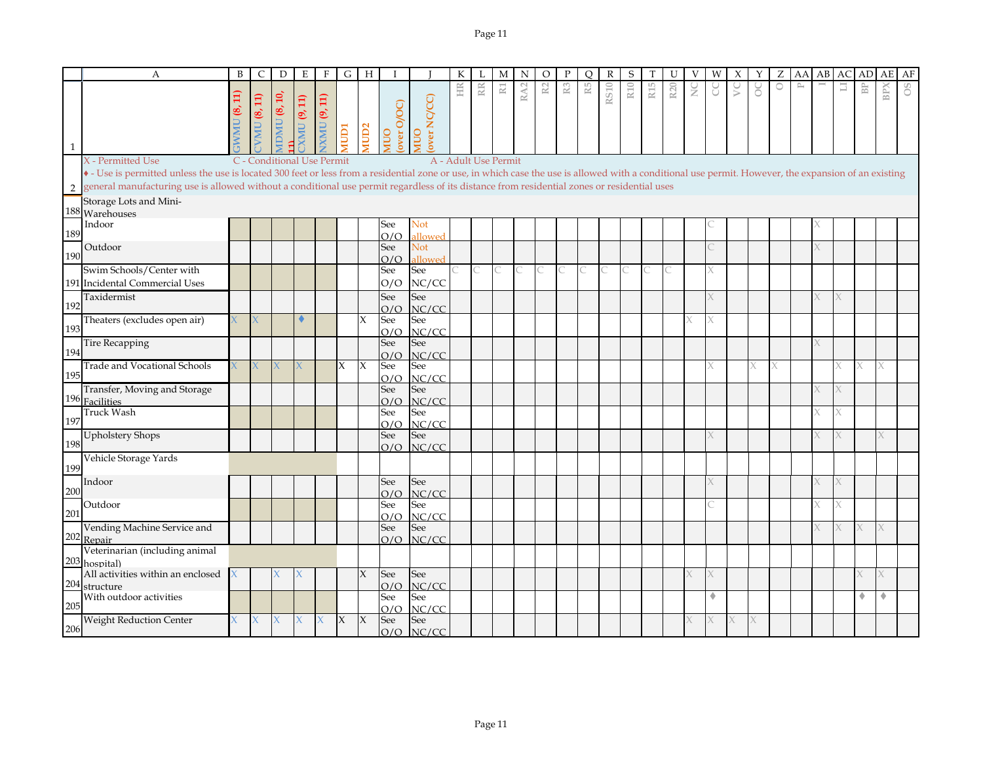|              | $\mathbf{A}$                                                                                                                                                                                          | B  | C             | D                          | Ε           | $\mathbf{F}$        | $\overline{G}$ | H                   | T                         |                           | К                    | L  | M              | N               | O  | P              | $\circ$ | $\mathbb{R}$ | S               | T               | U               | V             | W | X         | Y | Ζ | AA                        | AB |   | AC AD AE                |     | AF |
|--------------|-------------------------------------------------------------------------------------------------------------------------------------------------------------------------------------------------------|----|---------------|----------------------------|-------------|---------------------|----------------|---------------------|---------------------------|---------------------------|----------------------|----|----------------|-----------------|----|----------------|---------|--------------|-----------------|-----------------|-----------------|---------------|---|-----------|---|---|---------------------------|----|---|-------------------------|-----|----|
| $\mathbf{1}$ |                                                                                                                                                                                                       |    | VMU $(8, 11)$ | $\text{IDMU}$ (8, 10,      | XMU (9, 11) | <b>IXMU (9, 11)</b> | <b>ICIDIN</b>  | MUD <sub>2</sub>    | over O/OC)<br><b>NIUO</b> | over NC/CC)<br><b>OUM</b> | HR                   | RR | $\mathbbm{R}1$ | RA <sub>2</sub> | R2 | $\mathbb{R}^3$ | R5      | <b>RS10</b>  | R <sub>10</sub> | R <sub>15</sub> | R <sub>20</sub> | $\frac{C}{Z}$ | J | $\gtrsim$ | ŏ | 0 | $\mathbb{\triangleright}$ |    | Ξ | $\mathbb{B} \mathbb{P}$ | BPX | 8O |
|              | X - Permitted Use                                                                                                                                                                                     |    |               | C - Conditional Use Permit |             |                     |                |                     |                           |                           | A - Adult Use Permit |    |                |                 |    |                |         |              |                 |                 |                 |               |   |           |   |   |                           |    |   |                         |     |    |
|              | • - Use is permitted unless the use is located 300 feet or less from a residential zone or use, in which case the use is allowed with a conditional use permit. However, the expansion of an existing |    |               |                            |             |                     |                |                     |                           |                           |                      |    |                |                 |    |                |         |              |                 |                 |                 |               |   |           |   |   |                           |    |   |                         |     |    |
|              | 2 general manufacturing use is allowed without a conditional use permit regardless of its distance from residential zones or residential uses                                                         |    |               |                            |             |                     |                |                     |                           |                           |                      |    |                |                 |    |                |         |              |                 |                 |                 |               |   |           |   |   |                           |    |   |                         |     |    |
|              | Storage Lots and Mini-                                                                                                                                                                                |    |               |                            |             |                     |                |                     |                           |                           |                      |    |                |                 |    |                |         |              |                 |                 |                 |               |   |           |   |   |                           |    |   |                         |     |    |
|              | 188 Warehouses                                                                                                                                                                                        |    |               |                            |             |                     |                |                     |                           |                           |                      |    |                |                 |    |                |         |              |                 |                 |                 |               |   |           |   |   |                           |    |   |                         |     |    |
| 189          | Indoor                                                                                                                                                                                                |    |               |                            |             |                     |                |                     | See                       | Not                       |                      |    |                |                 |    |                |         |              |                 |                 |                 |               |   |           |   |   |                           |    |   |                         |     |    |
|              | Outdoor                                                                                                                                                                                               |    |               |                            |             |                     |                |                     | O/O<br>See                | allowed<br>Not            |                      |    |                |                 |    |                |         |              |                 |                 |                 |               |   |           |   |   |                           |    |   |                         |     |    |
| 190          |                                                                                                                                                                                                       |    |               |                            |             |                     |                |                     | O/O                       | illowed                   |                      |    |                |                 |    |                |         |              |                 |                 |                 |               |   |           |   |   |                           |    |   |                         |     |    |
|              | Swim Schools/Center with                                                                                                                                                                              |    |               |                            |             |                     |                |                     | See                       | See                       |                      | C  | C              |                 |    | C              |         |              |                 |                 |                 |               |   |           |   |   |                           |    |   |                         |     |    |
|              | 191 Incidental Commercial Uses                                                                                                                                                                        |    |               |                            |             |                     |                |                     | O/O                       | NC/CC                     |                      |    |                |                 |    |                |         |              |                 |                 |                 |               |   |           |   |   |                           |    |   |                         |     |    |
|              | Taxidermist                                                                                                                                                                                           |    |               |                            |             |                     |                |                     | See                       | See                       |                      |    |                |                 |    |                |         |              |                 |                 |                 |               |   |           |   |   |                           |    |   |                         |     |    |
| 192          |                                                                                                                                                                                                       |    |               |                            |             |                     |                |                     | O/O                       | NC/CC                     |                      |    |                |                 |    |                |         |              |                 |                 |                 |               |   |           |   |   |                           |    |   |                         |     |    |
|              | Theaters (excludes open air)                                                                                                                                                                          |    |               |                            |             |                     |                | $\mathsf{X}$        | See                       | See                       |                      |    |                |                 |    |                |         |              |                 |                 |                 |               |   |           |   |   |                           |    |   |                         |     |    |
| 193          |                                                                                                                                                                                                       |    |               |                            |             |                     |                |                     | O/O                       | NC/CC                     |                      |    |                |                 |    |                |         |              |                 |                 |                 |               |   |           |   |   |                           |    |   |                         |     |    |
| 194          | <b>Tire Recapping</b>                                                                                                                                                                                 |    |               |                            |             |                     |                |                     | See                       | See                       |                      |    |                |                 |    |                |         |              |                 |                 |                 |               |   |           |   |   |                           |    |   |                         |     |    |
|              | <b>Trade and Vocational Schools</b>                                                                                                                                                                   |    |               |                            |             |                     | X              | $\mathsf{X}$        | O/O<br>See                | NC/CC<br>See              |                      |    |                |                 |    |                |         |              |                 |                 |                 |               |   |           |   |   |                           |    |   |                         |     |    |
| 195          |                                                                                                                                                                                                       |    |               |                            |             |                     |                |                     | O/O                       | NC/CC                     |                      |    |                |                 |    |                |         |              |                 |                 |                 |               |   |           |   |   |                           |    |   |                         |     |    |
|              | Transfer, Moving and Storage                                                                                                                                                                          |    |               |                            |             |                     |                |                     | See                       | See                       |                      |    |                |                 |    |                |         |              |                 |                 |                 |               |   |           |   |   |                           |    |   |                         |     |    |
|              | 196 Facilities                                                                                                                                                                                        |    |               |                            |             |                     |                |                     | O/O                       | NC/CC                     |                      |    |                |                 |    |                |         |              |                 |                 |                 |               |   |           |   |   |                           |    |   |                         |     |    |
|              | <b>Truck Wash</b>                                                                                                                                                                                     |    |               |                            |             |                     |                |                     | See                       | See                       |                      |    |                |                 |    |                |         |              |                 |                 |                 |               |   |           |   |   |                           |    |   |                         |     |    |
| 197          |                                                                                                                                                                                                       |    |               |                            |             |                     |                |                     | O/O                       | NC/CC                     |                      |    |                |                 |    |                |         |              |                 |                 |                 |               |   |           |   |   |                           |    |   |                         |     |    |
| 198          | <b>Upholstery Shops</b>                                                                                                                                                                               |    |               |                            |             |                     |                |                     | See                       | See<br>$O/O$ NC/CC        |                      |    |                |                 |    |                |         |              |                 |                 |                 |               |   |           |   |   |                           |    |   |                         |     |    |
| 199          | Vehicle Storage Yards                                                                                                                                                                                 |    |               |                            |             |                     |                |                     |                           |                           |                      |    |                |                 |    |                |         |              |                 |                 |                 |               |   |           |   |   |                           |    |   |                         |     |    |
|              | Indoor                                                                                                                                                                                                |    |               |                            |             |                     |                |                     | See                       | See                       |                      |    |                |                 |    |                |         |              |                 |                 |                 |               |   |           |   |   |                           |    |   |                         |     |    |
| 200          |                                                                                                                                                                                                       |    |               |                            |             |                     |                |                     | O/O                       | NC/CC                     |                      |    |                |                 |    |                |         |              |                 |                 |                 |               |   |           |   |   |                           |    |   |                         |     |    |
|              | Outdoor                                                                                                                                                                                               |    |               |                            |             |                     |                |                     | See                       | See                       |                      |    |                |                 |    |                |         |              |                 |                 |                 |               |   |           |   |   |                           |    |   |                         |     |    |
| 201          |                                                                                                                                                                                                       |    |               |                            |             |                     |                |                     | O/O                       | NC/CC                     |                      |    |                |                 |    |                |         |              |                 |                 |                 |               |   |           |   |   |                           |    |   |                         |     |    |
|              | Vending Machine Service and<br>202 Repair                                                                                                                                                             |    |               |                            |             |                     |                |                     | See                       | See                       |                      |    |                |                 |    |                |         |              |                 |                 |                 |               |   |           |   |   |                           |    |   |                         |     |    |
|              | Veterinarian (including animal                                                                                                                                                                        |    |               |                            |             |                     |                |                     |                           | $O/O$ NC/CC               |                      |    |                |                 |    |                |         |              |                 |                 |                 |               |   |           |   |   |                           |    |   |                         |     |    |
|              | 203 hospital)                                                                                                                                                                                         |    |               |                            |             |                     |                |                     |                           |                           |                      |    |                |                 |    |                |         |              |                 |                 |                 |               |   |           |   |   |                           |    |   |                         |     |    |
|              | All activities within an enclosed                                                                                                                                                                     |    |               |                            |             |                     |                | $\mathsf{X}$        | See                       | See                       |                      |    |                |                 |    |                |         |              |                 |                 |                 |               |   |           |   |   |                           |    |   |                         |     |    |
|              | 204 structure                                                                                                                                                                                         |    |               |                            |             |                     |                |                     | O/O                       | NC/CC                     |                      |    |                |                 |    |                |         |              |                 |                 |                 |               |   |           |   |   |                           |    |   |                         |     |    |
| 205          | With outdoor activities                                                                                                                                                                               |    |               |                            |             |                     |                |                     | See                       | See                       |                      |    |                |                 |    |                |         |              |                 |                 |                 |               | ٠ |           |   |   |                           |    |   | ٠                       | ٠   |    |
|              |                                                                                                                                                                                                       |    |               |                            |             |                     | $\mathsf{X}$   |                     | O/O                       | NC/CC                     |                      |    |                |                 |    |                |         |              |                 |                 |                 |               |   |           |   |   |                           |    |   |                         |     |    |
| 206          | <b>Weight Reduction Center</b>                                                                                                                                                                        | X. |               |                            |             | X                   |                | $\boldsymbol{\chi}$ | See                       | See<br>$O/O$ NC/CC        |                      |    |                |                 |    |                |         |              |                 |                 |                 |               |   |           |   |   |                           |    |   |                         |     |    |